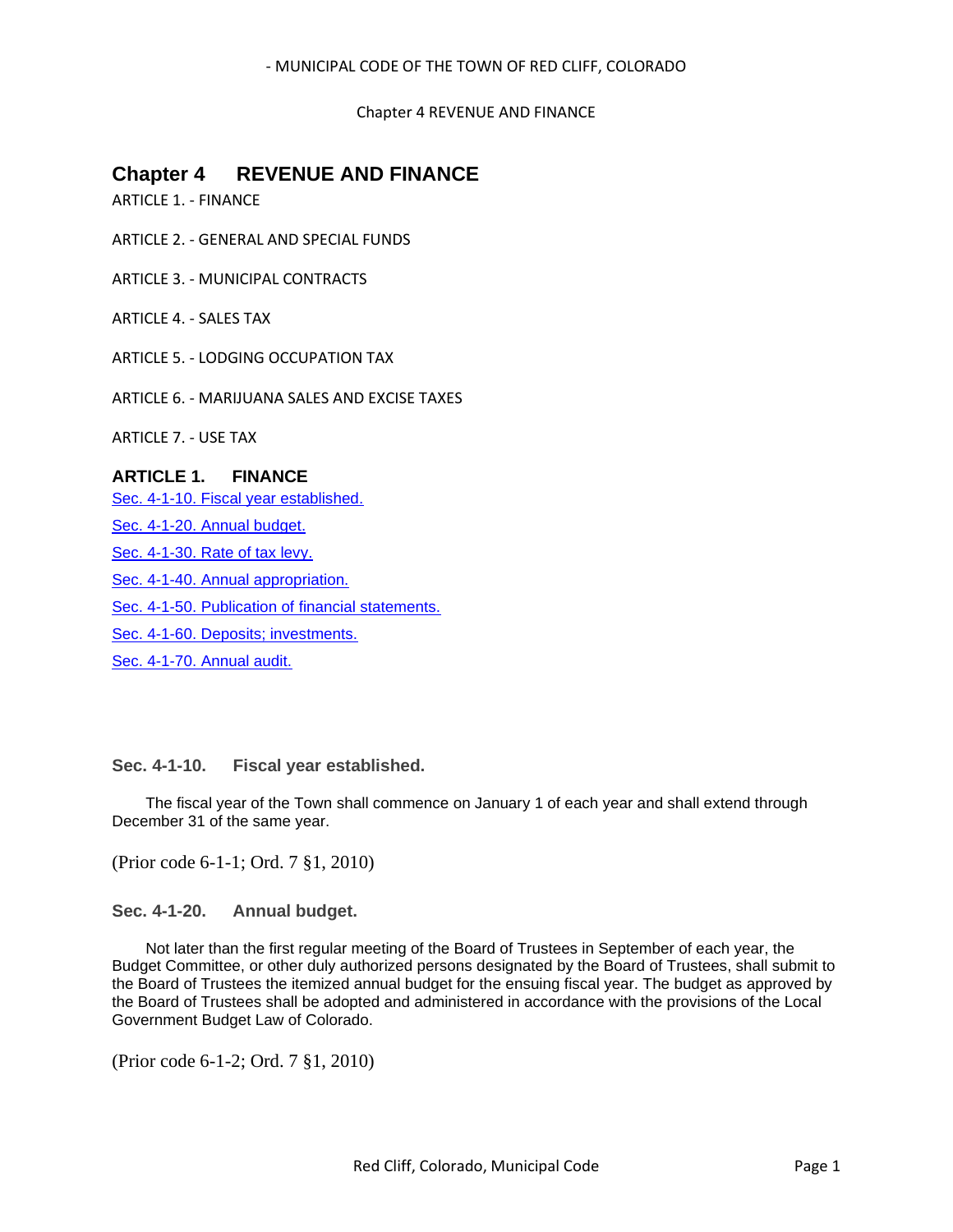Chapter 4 REVENUE AND FINANCE

# **Chapter 4 REVENUE AND FINANCE**

ARTICLE 1. - FINANCE

ARTICLE 2. - GENERAL AND SPECIAL FUNDS

ARTICLE 3. - MUNICIPAL CONTRACTS

ARTICLE 4. - SALES TAX

ARTICLE 5. - LODGING OCCUPATION TAX

ARTICLE 6. - MARIJUANA SALES AND EXCISE TAXES

ARTICLE 7. - USE TAX

## **ARTICLE 1. FINANCE**

[Sec. 4-1-10. Fiscal year established.](#page-0-0)

[Sec. 4-1-20. Annual budget.](#page-0-1)

[Sec. 4-1-30. Rate of tax levy.](#page-1-0)

[Sec. 4-1-40. Annual appropriation.](#page-1-1)

[Sec. 4-1-50. Publication of financial statements.](#page-1-2)

[Sec. 4-1-60. Deposits; investments.](#page-1-3)

[Sec. 4-1-70. Annual audit.](#page-1-4)

## <span id="page-0-0"></span>**Sec. 4-1-10. Fiscal year established.**

The fiscal year of the Town shall commence on January 1 of each year and shall extend through December 31 of the same year.

(Prior code 6-1-1; Ord. 7 §1, 2010)

<span id="page-0-1"></span>**Sec. 4-1-20. Annual budget.**

Not later than the first regular meeting of the Board of Trustees in September of each year, the Budget Committee, or other duly authorized persons designated by the Board of Trustees, shall submit to the Board of Trustees the itemized annual budget for the ensuing fiscal year. The budget as approved by the Board of Trustees shall be adopted and administered in accordance with the provisions of the Local Government Budget Law of Colorado.

(Prior code 6-1-2; Ord. 7 §1, 2010)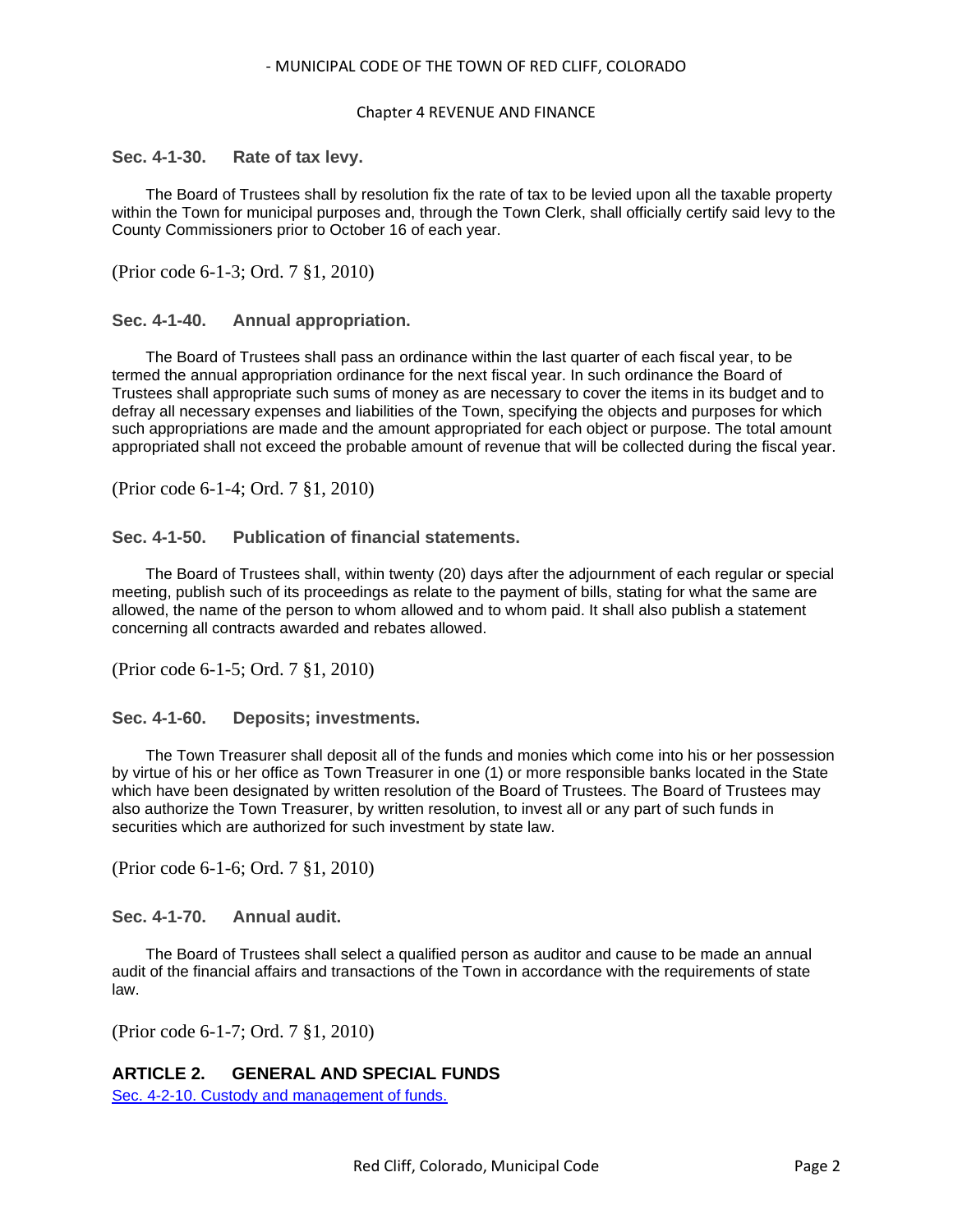#### Chapter 4 REVENUE AND FINANCE

### <span id="page-1-0"></span>**Sec. 4-1-30. Rate of tax levy.**

The Board of Trustees shall by resolution fix the rate of tax to be levied upon all the taxable property within the Town for municipal purposes and, through the Town Clerk, shall officially certify said levy to the County Commissioners prior to October 16 of each year.

(Prior code 6-1-3; Ord. 7 §1, 2010)

### <span id="page-1-1"></span>**Sec. 4-1-40. Annual appropriation.**

The Board of Trustees shall pass an ordinance within the last quarter of each fiscal year, to be termed the annual appropriation ordinance for the next fiscal year. In such ordinance the Board of Trustees shall appropriate such sums of money as are necessary to cover the items in its budget and to defray all necessary expenses and liabilities of the Town, specifying the objects and purposes for which such appropriations are made and the amount appropriated for each object or purpose. The total amount appropriated shall not exceed the probable amount of revenue that will be collected during the fiscal year.

(Prior code 6-1-4; Ord. 7 §1, 2010)

### <span id="page-1-2"></span>**Sec. 4-1-50. Publication of financial statements.**

The Board of Trustees shall, within twenty (20) days after the adjournment of each regular or special meeting, publish such of its proceedings as relate to the payment of bills, stating for what the same are allowed, the name of the person to whom allowed and to whom paid. It shall also publish a statement concerning all contracts awarded and rebates allowed.

(Prior code 6-1-5; Ord. 7 §1, 2010)

<span id="page-1-3"></span>**Sec. 4-1-60. Deposits; investments.**

The Town Treasurer shall deposit all of the funds and monies which come into his or her possession by virtue of his or her office as Town Treasurer in one (1) or more responsible banks located in the State which have been designated by written resolution of the Board of Trustees. The Board of Trustees may also authorize the Town Treasurer, by written resolution, to invest all or any part of such funds in securities which are authorized for such investment by state law.

(Prior code 6-1-6; Ord. 7 §1, 2010)

<span id="page-1-4"></span>**Sec. 4-1-70. Annual audit.**

The Board of Trustees shall select a qualified person as auditor and cause to be made an annual audit of the financial affairs and transactions of the Town in accordance with the requirements of state law.

(Prior code 6-1-7; Ord. 7 §1, 2010)

## **ARTICLE 2. GENERAL AND SPECIAL FUNDS**

[Sec. 4-2-10. Custody and management of funds.](#page-2-0)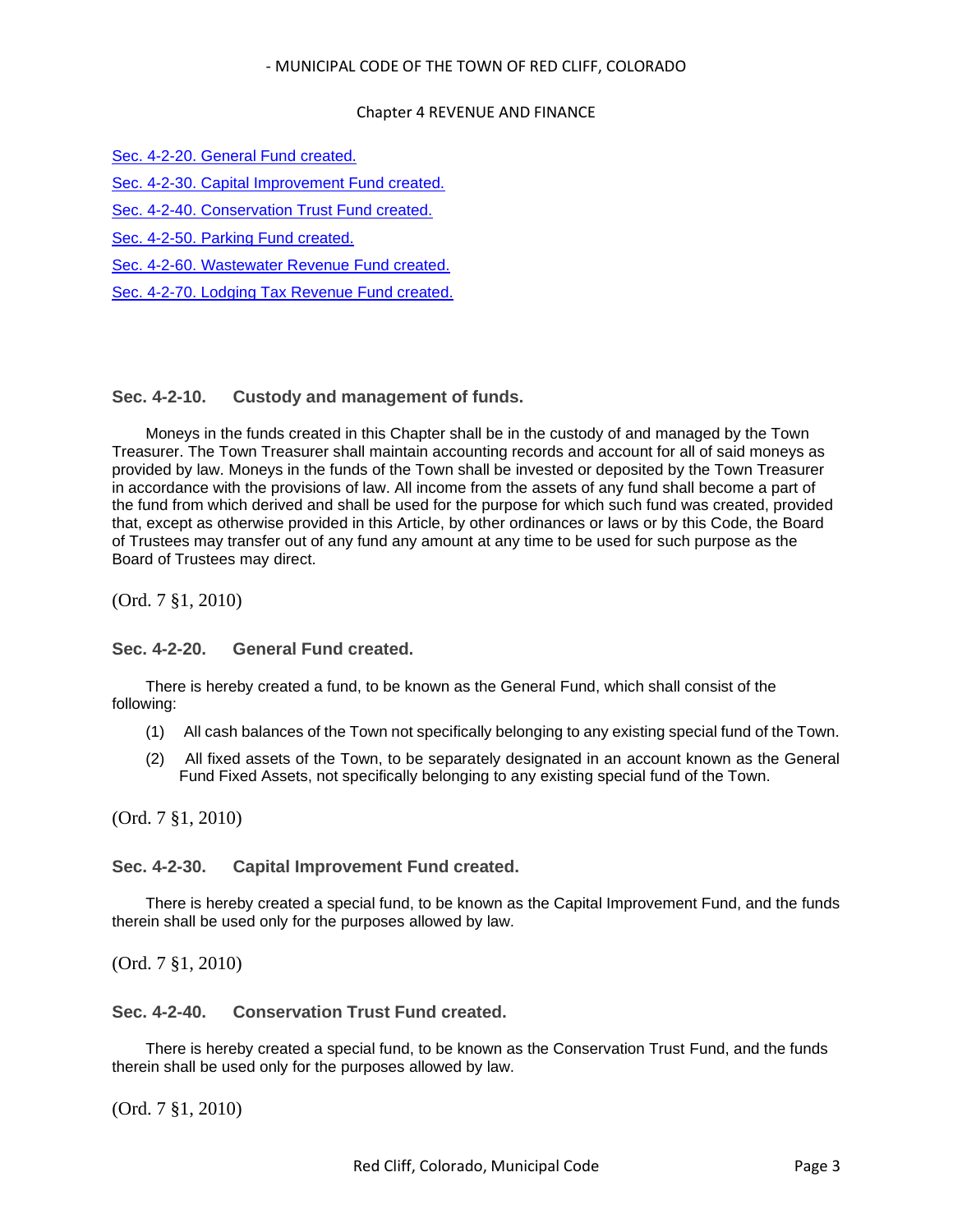### Chapter 4 REVENUE AND FINANCE

[Sec. 4-2-20. General Fund created.](#page-2-1)

[Sec. 4-2-30. Capital Improvement Fund created.](#page-2-2)

[Sec. 4-2-40. Conservation Trust Fund created.](#page-2-3)

[Sec. 4-2-50. Parking Fund created.](#page-3-0)

[Sec. 4-2-60. Wastewater Revenue Fund created.](#page-3-1)

[Sec. 4-2-70. Lodging Tax Revenue Fund created.](#page-3-2)

## <span id="page-2-0"></span>**Sec. 4-2-10. Custody and management of funds.**

Moneys in the funds created in this Chapter shall be in the custody of and managed by the Town Treasurer. The Town Treasurer shall maintain accounting records and account for all of said moneys as provided by law. Moneys in the funds of the Town shall be invested or deposited by the Town Treasurer in accordance with the provisions of law. All income from the assets of any fund shall become a part of the fund from which derived and shall be used for the purpose for which such fund was created, provided that, except as otherwise provided in this Article, by other ordinances or laws or by this Code, the Board of Trustees may transfer out of any fund any amount at any time to be used for such purpose as the Board of Trustees may direct.

(Ord. 7 §1, 2010)

## <span id="page-2-1"></span>**Sec. 4-2-20. General Fund created.**

There is hereby created a fund, to be known as the General Fund, which shall consist of the following:

- (1) All cash balances of the Town not specifically belonging to any existing special fund of the Town.
- (2) All fixed assets of the Town, to be separately designated in an account known as the General Fund Fixed Assets, not specifically belonging to any existing special fund of the Town.

(Ord. 7 §1, 2010)

## <span id="page-2-2"></span>**Sec. 4-2-30. Capital Improvement Fund created.**

There is hereby created a special fund, to be known as the Capital Improvement Fund, and the funds therein shall be used only for the purposes allowed by law.

(Ord. 7 §1, 2010)

## <span id="page-2-3"></span>**Sec. 4-2-40. Conservation Trust Fund created.**

There is hereby created a special fund, to be known as the Conservation Trust Fund, and the funds therein shall be used only for the purposes allowed by law.

(Ord. 7 §1, 2010)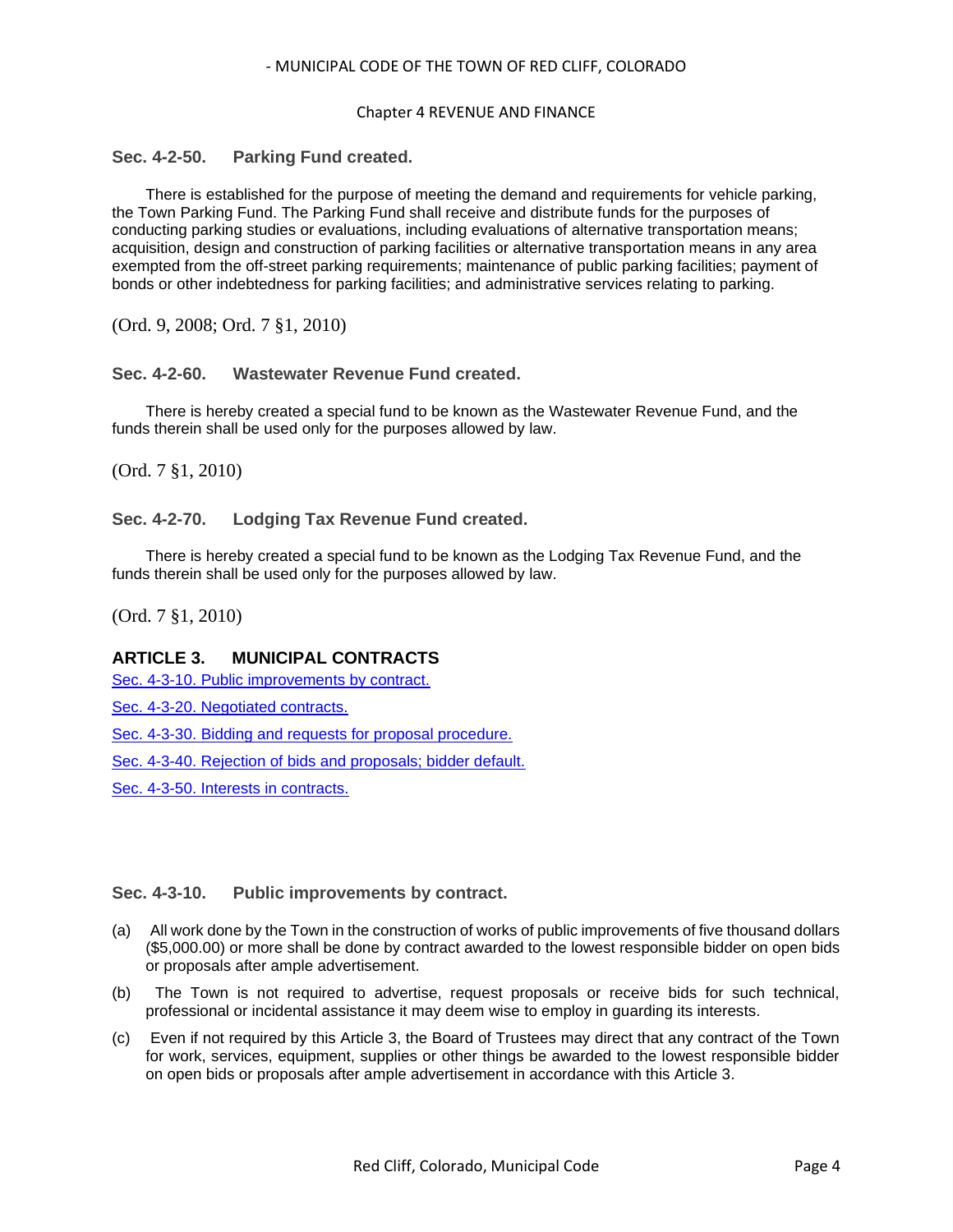### Chapter 4 REVENUE AND FINANCE

## <span id="page-3-0"></span>**Sec. 4-2-50. Parking Fund created.**

There is established for the purpose of meeting the demand and requirements for vehicle parking, the Town Parking Fund. The Parking Fund shall receive and distribute funds for the purposes of conducting parking studies or evaluations, including evaluations of alternative transportation means; acquisition, design and construction of parking facilities or alternative transportation means in any area exempted from the off-street parking requirements; maintenance of public parking facilities; payment of bonds or other indebtedness for parking facilities; and administrative services relating to parking.

(Ord. 9, 2008; Ord. 7 §1, 2010)

## <span id="page-3-1"></span>**Sec. 4-2-60. Wastewater Revenue Fund created.**

There is hereby created a special fund to be known as the Wastewater Revenue Fund, and the funds therein shall be used only for the purposes allowed by law.

(Ord. 7 §1, 2010)

## <span id="page-3-2"></span>**Sec. 4-2-70. Lodging Tax Revenue Fund created.**

There is hereby created a special fund to be known as the Lodging Tax Revenue Fund, and the funds therein shall be used only for the purposes allowed by law.

(Ord. 7 §1, 2010)

## **ARTICLE 3. MUNICIPAL CONTRACTS**

[Sec. 4-3-10. Public improvements by contract.](#page-3-3)

[Sec. 4-3-20. Negotiated contracts.](#page-4-0)

[Sec. 4-3-30. Bidding and requests for proposal procedure.](#page-4-1)

[Sec. 4-3-40. Rejection of bids and proposals; bidder default.](#page-5-0)

[Sec. 4-3-50. Interests in contracts.](#page-5-1)

## <span id="page-3-3"></span>**Sec. 4-3-10. Public improvements by contract.**

- (a) All work done by the Town in the construction of works of public improvements of five thousand dollars (\$5,000.00) or more shall be done by contract awarded to the lowest responsible bidder on open bids or proposals after ample advertisement.
- (b) The Town is not required to advertise, request proposals or receive bids for such technical, professional or incidental assistance it may deem wise to employ in guarding its interests.
- (c) Even if not required by this Article 3, the Board of Trustees may direct that any contract of the Town for work, services, equipment, supplies or other things be awarded to the lowest responsible bidder on open bids or proposals after ample advertisement in accordance with this Article 3.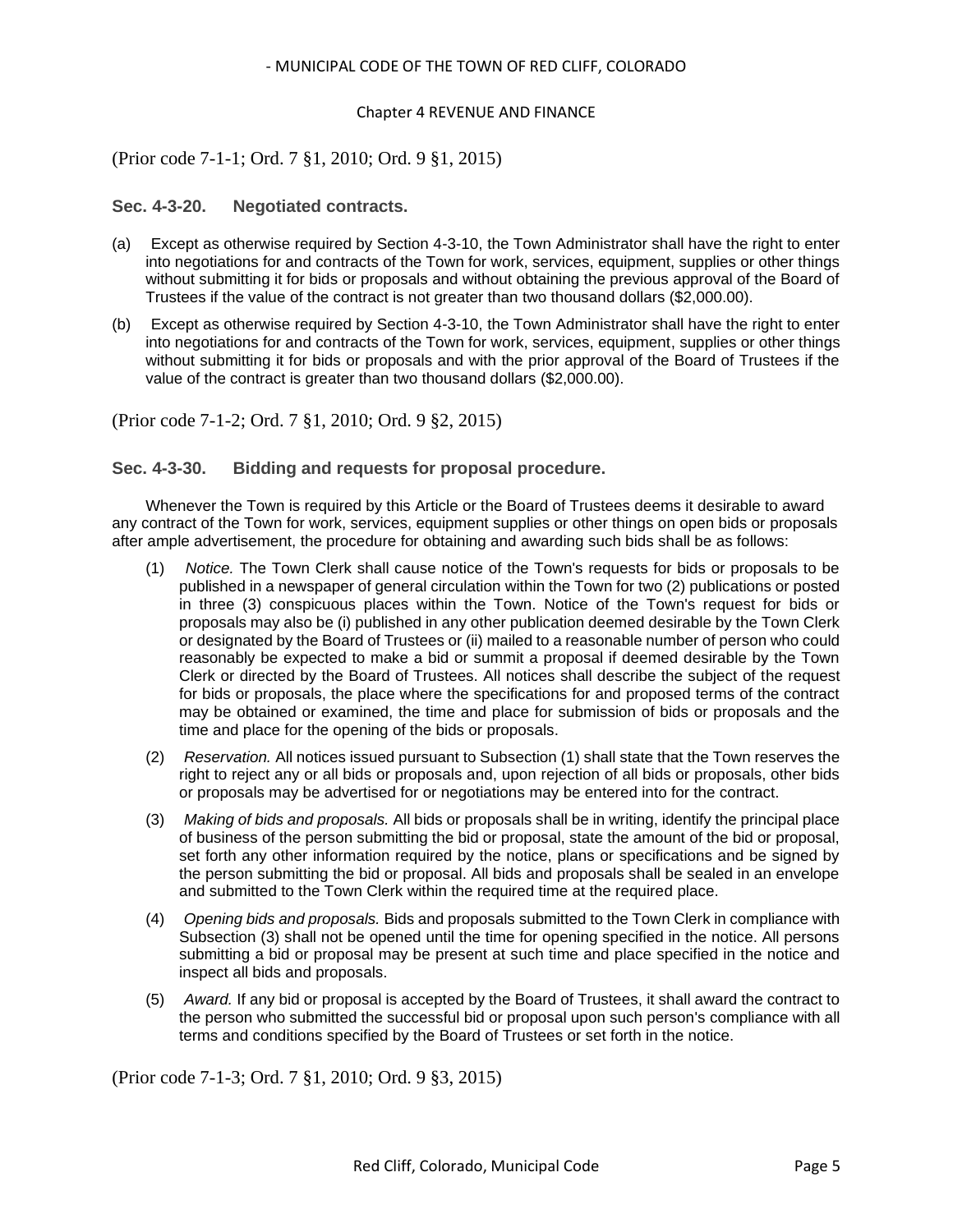### Chapter 4 REVENUE AND FINANCE

## (Prior code 7-1-1; Ord. 7 §1, 2010; Ord. 9 §1, 2015)

### <span id="page-4-0"></span>**Sec. 4-3-20. Negotiated contracts.**

- (a) Except as otherwise required by Section 4-3-10, the Town Administrator shall have the right to enter into negotiations for and contracts of the Town for work, services, equipment, supplies or other things without submitting it for bids or proposals and without obtaining the previous approval of the Board of Trustees if the value of the contract is not greater than two thousand dollars (\$2,000.00).
- (b) Except as otherwise required by Section 4-3-10, the Town Administrator shall have the right to enter into negotiations for and contracts of the Town for work, services, equipment, supplies or other things without submitting it for bids or proposals and with the prior approval of the Board of Trustees if the value of the contract is greater than two thousand dollars (\$2,000.00).

## (Prior code 7-1-2; Ord. 7 §1, 2010; Ord. 9 §2, 2015)

### <span id="page-4-1"></span>**Sec. 4-3-30. Bidding and requests for proposal procedure.**

Whenever the Town is required by this Article or the Board of Trustees deems it desirable to award any contract of the Town for work, services, equipment supplies or other things on open bids or proposals after ample advertisement, the procedure for obtaining and awarding such bids shall be as follows:

- (1) *Notice.* The Town Clerk shall cause notice of the Town's requests for bids or proposals to be published in a newspaper of general circulation within the Town for two (2) publications or posted in three (3) conspicuous places within the Town. Notice of the Town's request for bids or proposals may also be (i) published in any other publication deemed desirable by the Town Clerk or designated by the Board of Trustees or (ii) mailed to a reasonable number of person who could reasonably be expected to make a bid or summit a proposal if deemed desirable by the Town Clerk or directed by the Board of Trustees. All notices shall describe the subject of the request for bids or proposals, the place where the specifications for and proposed terms of the contract may be obtained or examined, the time and place for submission of bids or proposals and the time and place for the opening of the bids or proposals.
- (2) *Reservation.* All notices issued pursuant to Subsection (1) shall state that the Town reserves the right to reject any or all bids or proposals and, upon rejection of all bids or proposals, other bids or proposals may be advertised for or negotiations may be entered into for the contract.
- (3) *Making of bids and proposals.* All bids or proposals shall be in writing, identify the principal place of business of the person submitting the bid or proposal, state the amount of the bid or proposal, set forth any other information required by the notice, plans or specifications and be signed by the person submitting the bid or proposal. All bids and proposals shall be sealed in an envelope and submitted to the Town Clerk within the required time at the required place.
- (4) *Opening bids and proposals.* Bids and proposals submitted to the Town Clerk in compliance with Subsection (3) shall not be opened until the time for opening specified in the notice. All persons submitting a bid or proposal may be present at such time and place specified in the notice and inspect all bids and proposals.
- (5) *Award.* If any bid or proposal is accepted by the Board of Trustees, it shall award the contract to the person who submitted the successful bid or proposal upon such person's compliance with all terms and conditions specified by the Board of Trustees or set forth in the notice.

(Prior code 7-1-3; Ord. 7 §1, 2010; Ord. 9 §3, 2015)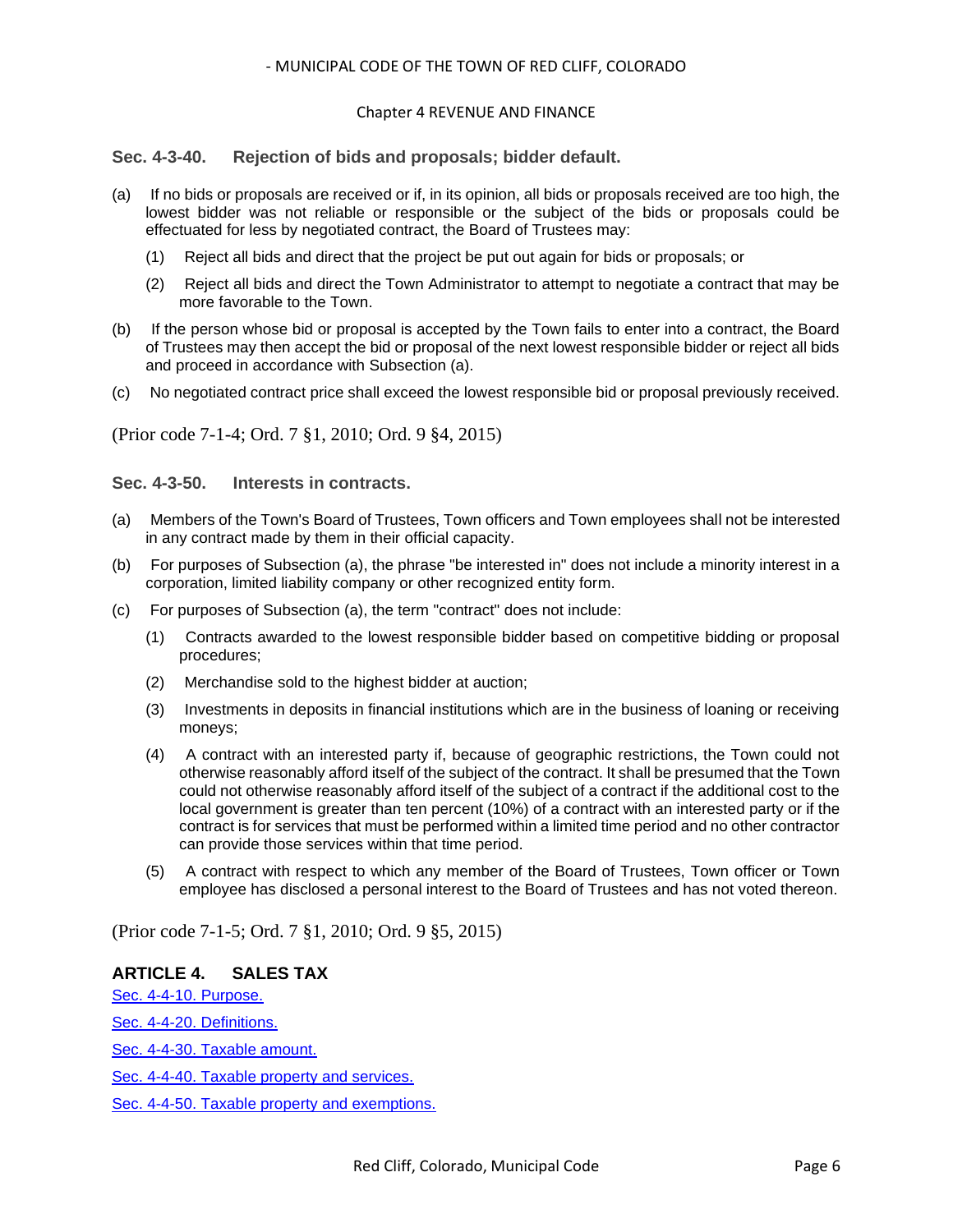### Chapter 4 REVENUE AND FINANCE

<span id="page-5-0"></span>**Sec. 4-3-40. Rejection of bids and proposals; bidder default.**

- (a) If no bids or proposals are received or if, in its opinion, all bids or proposals received are too high, the lowest bidder was not reliable or responsible or the subject of the bids or proposals could be effectuated for less by negotiated contract, the Board of Trustees may:
	- (1) Reject all bids and direct that the project be put out again for bids or proposals; or
	- (2) Reject all bids and direct the Town Administrator to attempt to negotiate a contract that may be more favorable to the Town.
- (b) If the person whose bid or proposal is accepted by the Town fails to enter into a contract, the Board of Trustees may then accept the bid or proposal of the next lowest responsible bidder or reject all bids and proceed in accordance with Subsection (a).
- (c) No negotiated contract price shall exceed the lowest responsible bid or proposal previously received.

(Prior code 7-1-4; Ord. 7 §1, 2010; Ord. 9 §4, 2015)

<span id="page-5-1"></span>**Sec. 4-3-50. Interests in contracts.**

- (a) Members of the Town's Board of Trustees, Town officers and Town employees shall not be interested in any contract made by them in their official capacity.
- (b) For purposes of Subsection (a), the phrase "be interested in" does not include a minority interest in a corporation, limited liability company or other recognized entity form.
- (c) For purposes of Subsection (a), the term "contract" does not include:
	- (1) Contracts awarded to the lowest responsible bidder based on competitive bidding or proposal procedures;
	- (2) Merchandise sold to the highest bidder at auction;
	- (3) Investments in deposits in financial institutions which are in the business of loaning or receiving moneys;
	- (4) A contract with an interested party if, because of geographic restrictions, the Town could not otherwise reasonably afford itself of the subject of the contract. It shall be presumed that the Town could not otherwise reasonably afford itself of the subject of a contract if the additional cost to the local government is greater than ten percent (10%) of a contract with an interested party or if the contract is for services that must be performed within a limited time period and no other contractor can provide those services within that time period.
	- (5) A contract with respect to which any member of the Board of Trustees, Town officer or Town employee has disclosed a personal interest to the Board of Trustees and has not voted thereon.

(Prior code 7-1-5; Ord. 7 §1, 2010; Ord. 9 §5, 2015)

## **ARTICLE 4. SALES TAX**

[Sec. 4-4-10. Purpose.](#page-6-0)

[Sec. 4-4-20. Definitions.](#page-6-1)

[Sec. 4-4-30. Taxable amount.](#page-6-2)

[Sec. 4-4-40. Taxable property and services.](#page-6-3)

[Sec. 4-4-50. Taxable property and exemptions.](#page-7-0)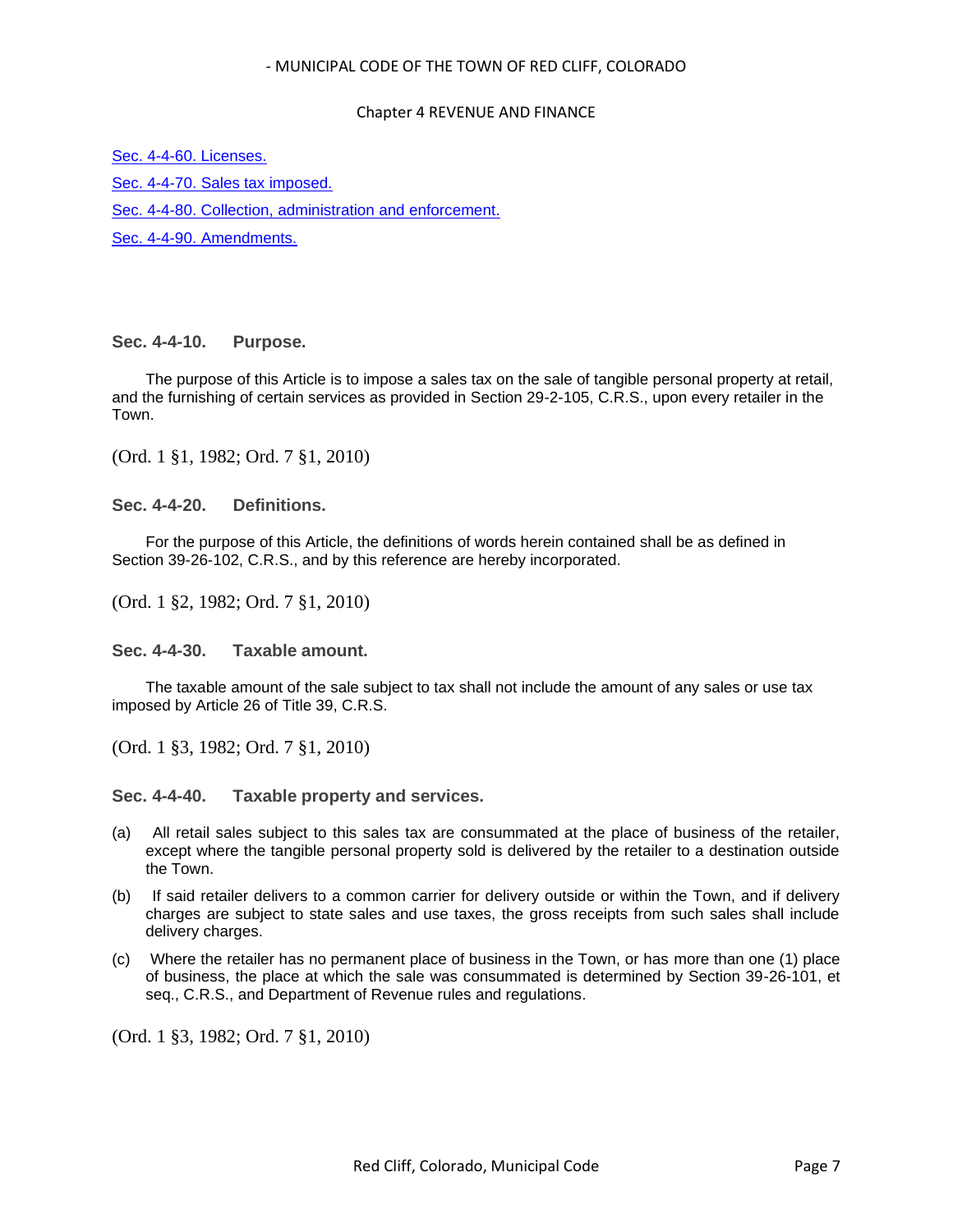### Chapter 4 REVENUE AND FINANCE

[Sec. 4-4-60. Licenses.](#page-7-1) [Sec. 4-4-70. Sales tax imposed.](#page-7-2) [Sec. 4-4-80. Collection, administration and enforcement.](#page-8-0) [Sec. 4-4-90. Amendments.](#page-8-1)

<span id="page-6-0"></span>**Sec. 4-4-10. Purpose.**

The purpose of this Article is to impose a sales tax on the sale of tangible personal property at retail, and the furnishing of certain services as provided in Section 29-2-105, C.R.S., upon every retailer in the Town.

(Ord. 1 §1, 1982; Ord. 7 §1, 2010)

<span id="page-6-1"></span>**Sec. 4-4-20. Definitions.**

For the purpose of this Article, the definitions of words herein contained shall be as defined in Section 39-26-102, C.R.S., and by this reference are hereby incorporated.

(Ord. 1 §2, 1982; Ord. 7 §1, 2010)

<span id="page-6-2"></span>**Sec. 4-4-30. Taxable amount.**

The taxable amount of the sale subject to tax shall not include the amount of any sales or use tax imposed by Article 26 of Title 39, C.R.S.

(Ord. 1 §3, 1982; Ord. 7 §1, 2010)

<span id="page-6-3"></span>**Sec. 4-4-40. Taxable property and services.**

- (a) All retail sales subject to this sales tax are consummated at the place of business of the retailer, except where the tangible personal property sold is delivered by the retailer to a destination outside the Town.
- (b) If said retailer delivers to a common carrier for delivery outside or within the Town, and if delivery charges are subject to state sales and use taxes, the gross receipts from such sales shall include delivery charges.
- (c) Where the retailer has no permanent place of business in the Town, or has more than one (1) place of business, the place at which the sale was consummated is determined by Section 39-26-101, et seq., C.R.S., and Department of Revenue rules and regulations.

(Ord. 1 §3, 1982; Ord. 7 §1, 2010)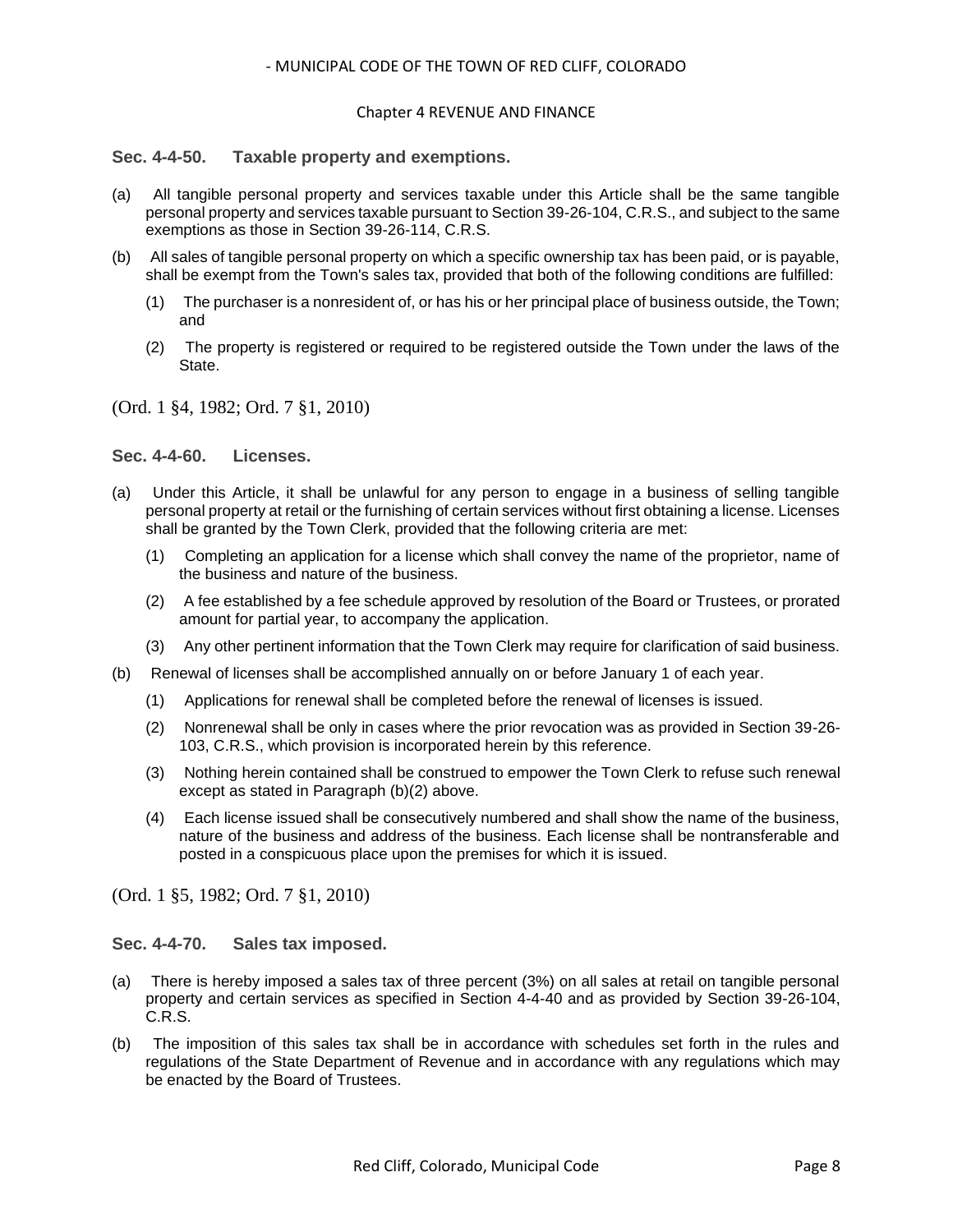### Chapter 4 REVENUE AND FINANCE

### <span id="page-7-0"></span>**Sec. 4-4-50. Taxable property and exemptions.**

- (a) All tangible personal property and services taxable under this Article shall be the same tangible personal property and services taxable pursuant to Section 39-26-104, C.R.S., and subject to the same exemptions as those in Section 39-26-114, C.R.S.
- (b) All sales of tangible personal property on which a specific ownership tax has been paid, or is payable, shall be exempt from the Town's sales tax, provided that both of the following conditions are fulfilled:
	- (1) The purchaser is a nonresident of, or has his or her principal place of business outside, the Town; and
	- (2) The property is registered or required to be registered outside the Town under the laws of the State.

(Ord. 1 §4, 1982; Ord. 7 §1, 2010)

### <span id="page-7-1"></span>**Sec. 4-4-60. Licenses.**

- (a) Under this Article, it shall be unlawful for any person to engage in a business of selling tangible personal property at retail or the furnishing of certain services without first obtaining a license. Licenses shall be granted by the Town Clerk, provided that the following criteria are met:
	- (1) Completing an application for a license which shall convey the name of the proprietor, name of the business and nature of the business.
	- (2) A fee established by a fee schedule approved by resolution of the Board or Trustees, or prorated amount for partial year, to accompany the application.
	- (3) Any other pertinent information that the Town Clerk may require for clarification of said business.
- (b) Renewal of licenses shall be accomplished annually on or before January 1 of each year.
	- (1) Applications for renewal shall be completed before the renewal of licenses is issued.
	- (2) Nonrenewal shall be only in cases where the prior revocation was as provided in Section 39-26- 103, C.R.S., which provision is incorporated herein by this reference.
	- (3) Nothing herein contained shall be construed to empower the Town Clerk to refuse such renewal except as stated in Paragraph (b)(2) above.
	- (4) Each license issued shall be consecutively numbered and shall show the name of the business, nature of the business and address of the business. Each license shall be nontransferable and posted in a conspicuous place upon the premises for which it is issued.

(Ord. 1 §5, 1982; Ord. 7 §1, 2010)

### <span id="page-7-2"></span>**Sec. 4-4-70. Sales tax imposed.**

- (a) There is hereby imposed a sales tax of three percent (3%) on all sales at retail on tangible personal property and certain services as specified in Section 4-4-40 and as provided by Section 39-26-104, C.R.S.
- (b) The imposition of this sales tax shall be in accordance with schedules set forth in the rules and regulations of the State Department of Revenue and in accordance with any regulations which may be enacted by the Board of Trustees.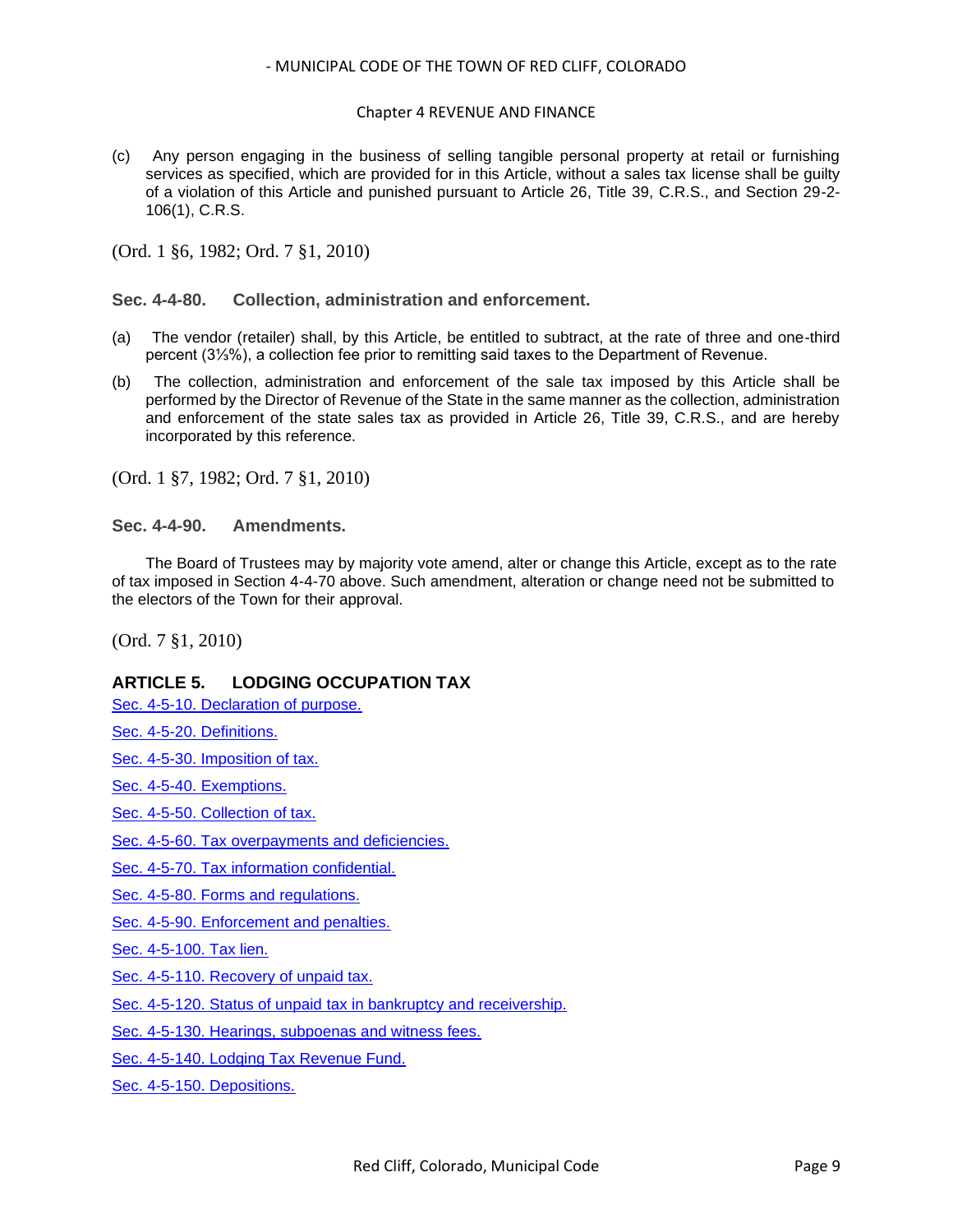### Chapter 4 REVENUE AND FINANCE

(c) Any person engaging in the business of selling tangible personal property at retail or furnishing services as specified, which are provided for in this Article, without a sales tax license shall be quilty of a violation of this Article and punished pursuant to Article 26, Title 39, C.R.S., and Section 29-2- 106(1), C.R.S.

(Ord. 1 §6, 1982; Ord. 7 §1, 2010)

<span id="page-8-0"></span>**Sec. 4-4-80. Collection, administration and enforcement.**

- (a) The vendor (retailer) shall, by this Article, be entitled to subtract, at the rate of three and one-third percent (3⅓%), a collection fee prior to remitting said taxes to the Department of Revenue.
- (b) The collection, administration and enforcement of the sale tax imposed by this Article shall be performed by the Director of Revenue of the State in the same manner as the collection, administration and enforcement of the state sales tax as provided in Article 26, Title 39, C.R.S., and are hereby incorporated by this reference.

(Ord. 1 §7, 1982; Ord. 7 §1, 2010)

<span id="page-8-1"></span>**Sec. 4-4-90. Amendments.**

The Board of Trustees may by majority vote amend, alter or change this Article, except as to the rate of tax imposed in Section 4-4-70 above. Such amendment, alteration or change need not be submitted to the electors of the Town for their approval.

(Ord. 7 §1, 2010)

## **ARTICLE 5. LODGING OCCUPATION TAX**

[Sec. 4-5-10. Declaration of purpose.](#page-9-0)

[Sec. 4-5-20. Definitions.](#page-9-1)

[Sec. 4-5-30. Imposition of tax.](#page-10-0)

[Sec. 4-5-40. Exemptions.](#page-10-1)

[Sec. 4-5-50. Collection of tax.](#page-10-2)

[Sec. 4-5-60. Tax overpayments and deficiencies.](#page-11-0)

[Sec. 4-5-70. Tax information confidential.](#page-11-1)

[Sec. 4-5-80. Forms and regulations.](#page-11-2)

[Sec. 4-5-90. Enforcement and penalties.](#page-12-0)

[Sec. 4-5-100. Tax lien.](#page-12-1)

[Sec. 4-5-110. Recovery of unpaid tax.](#page-12-2)

[Sec. 4-5-120. Status of unpaid tax in bankruptcy and receivership.](#page-13-0)

[Sec. 4-5-130. Hearings, subpoenas and witness fees.](#page-13-1)

[Sec. 4-5-140. Lodging Tax Revenue Fund.](#page-14-0)

[Sec. 4-5-150. Depositions.](#page-14-1)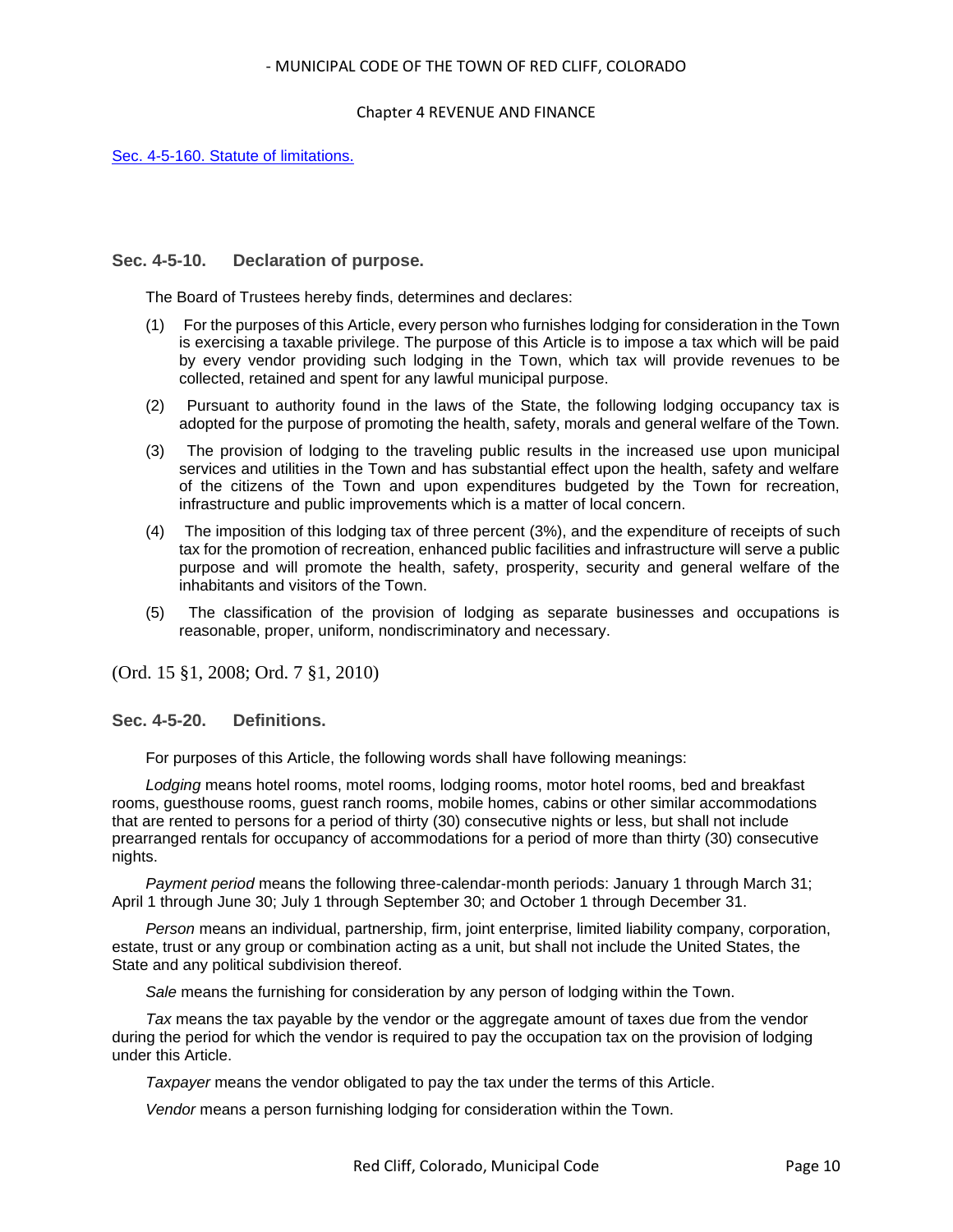### Chapter 4 REVENUE AND FINANCE

[Sec. 4-5-160. Statute of limitations.](#page-14-2)

### <span id="page-9-0"></span>**Sec. 4-5-10. Declaration of purpose.**

The Board of Trustees hereby finds, determines and declares:

- (1) For the purposes of this Article, every person who furnishes lodging for consideration in the Town is exercising a taxable privilege. The purpose of this Article is to impose a tax which will be paid by every vendor providing such lodging in the Town, which tax will provide revenues to be collected, retained and spent for any lawful municipal purpose.
- (2) Pursuant to authority found in the laws of the State, the following lodging occupancy tax is adopted for the purpose of promoting the health, safety, morals and general welfare of the Town.
- (3) The provision of lodging to the traveling public results in the increased use upon municipal services and utilities in the Town and has substantial effect upon the health, safety and welfare of the citizens of the Town and upon expenditures budgeted by the Town for recreation, infrastructure and public improvements which is a matter of local concern.
- (4) The imposition of this lodging tax of three percent (3%), and the expenditure of receipts of such tax for the promotion of recreation, enhanced public facilities and infrastructure will serve a public purpose and will promote the health, safety, prosperity, security and general welfare of the inhabitants and visitors of the Town.
- (5) The classification of the provision of lodging as separate businesses and occupations is reasonable, proper, uniform, nondiscriminatory and necessary.

(Ord. 15 §1, 2008; Ord. 7 §1, 2010)

<span id="page-9-1"></span>**Sec. 4-5-20. Definitions.**

For purposes of this Article, the following words shall have following meanings:

*Lodging* means hotel rooms, motel rooms, lodging rooms, motor hotel rooms, bed and breakfast rooms, guesthouse rooms, guest ranch rooms, mobile homes, cabins or other similar accommodations that are rented to persons for a period of thirty (30) consecutive nights or less, but shall not include prearranged rentals for occupancy of accommodations for a period of more than thirty (30) consecutive nights.

*Payment period* means the following three-calendar-month periods: January 1 through March 31; April 1 through June 30; July 1 through September 30; and October 1 through December 31.

*Person* means an individual, partnership, firm, joint enterprise, limited liability company, corporation, estate, trust or any group or combination acting as a unit, but shall not include the United States, the State and any political subdivision thereof.

*Sale* means the furnishing for consideration by any person of lodging within the Town.

*Tax* means the tax payable by the vendor or the aggregate amount of taxes due from the vendor during the period for which the vendor is required to pay the occupation tax on the provision of lodging under this Article.

*Taxpayer* means the vendor obligated to pay the tax under the terms of this Article.

*Vendor* means a person furnishing lodging for consideration within the Town.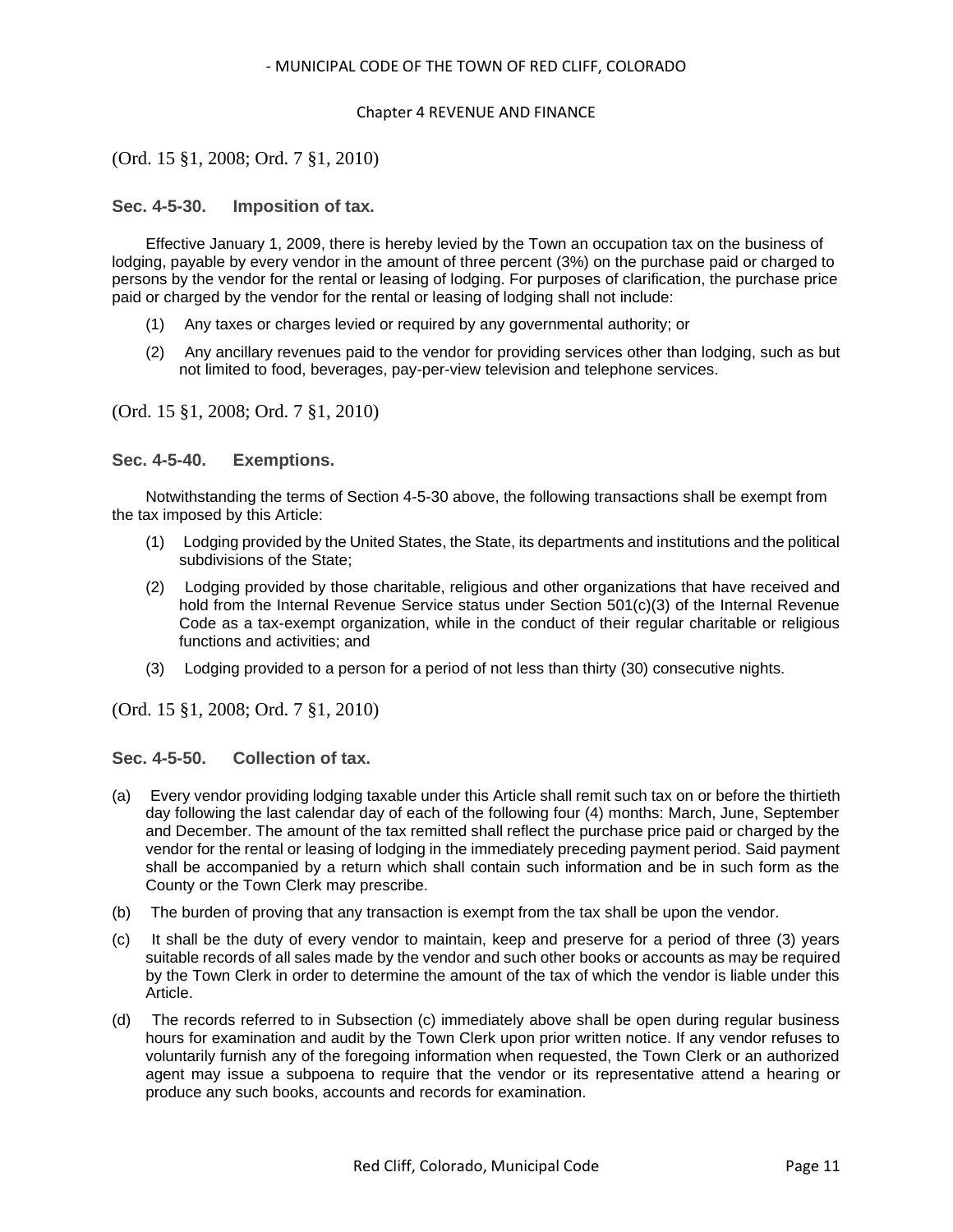### Chapter 4 REVENUE AND FINANCE

## (Ord. 15 §1, 2008; Ord. 7 §1, 2010)

### <span id="page-10-0"></span>**Sec. 4-5-30. Imposition of tax.**

Effective January 1, 2009, there is hereby levied by the Town an occupation tax on the business of lodging, payable by every vendor in the amount of three percent (3%) on the purchase paid or charged to persons by the vendor for the rental or leasing of lodging. For purposes of clarification, the purchase price paid or charged by the vendor for the rental or leasing of lodging shall not include:

- (1) Any taxes or charges levied or required by any governmental authority; or
- (2) Any ancillary revenues paid to the vendor for providing services other than lodging, such as but not limited to food, beverages, pay-per-view television and telephone services.

(Ord. 15 §1, 2008; Ord. 7 §1, 2010)

### <span id="page-10-1"></span>**Sec. 4-5-40. Exemptions.**

Notwithstanding the terms of Section 4-5-30 above, the following transactions shall be exempt from the tax imposed by this Article:

- (1) Lodging provided by the United States, the State, its departments and institutions and the political subdivisions of the State;
- (2) Lodging provided by those charitable, religious and other organizations that have received and hold from the Internal Revenue Service status under Section 501(c)(3) of the Internal Revenue Code as a tax-exempt organization, while in the conduct of their regular charitable or religious functions and activities; and
- (3) Lodging provided to a person for a period of not less than thirty (30) consecutive nights.

(Ord. 15 §1, 2008; Ord. 7 §1, 2010)

### <span id="page-10-2"></span>**Sec. 4-5-50. Collection of tax.**

- (a) Every vendor providing lodging taxable under this Article shall remit such tax on or before the thirtieth day following the last calendar day of each of the following four (4) months: March, June, September and December. The amount of the tax remitted shall reflect the purchase price paid or charged by the vendor for the rental or leasing of lodging in the immediately preceding payment period. Said payment shall be accompanied by a return which shall contain such information and be in such form as the County or the Town Clerk may prescribe.
- (b) The burden of proving that any transaction is exempt from the tax shall be upon the vendor.
- (c) It shall be the duty of every vendor to maintain, keep and preserve for a period of three (3) years suitable records of all sales made by the vendor and such other books or accounts as may be required by the Town Clerk in order to determine the amount of the tax of which the vendor is liable under this Article.
- (d) The records referred to in Subsection (c) immediately above shall be open during regular business hours for examination and audit by the Town Clerk upon prior written notice. If any vendor refuses to voluntarily furnish any of the foregoing information when requested, the Town Clerk or an authorized agent may issue a subpoena to require that the vendor or its representative attend a hearing or produce any such books, accounts and records for examination.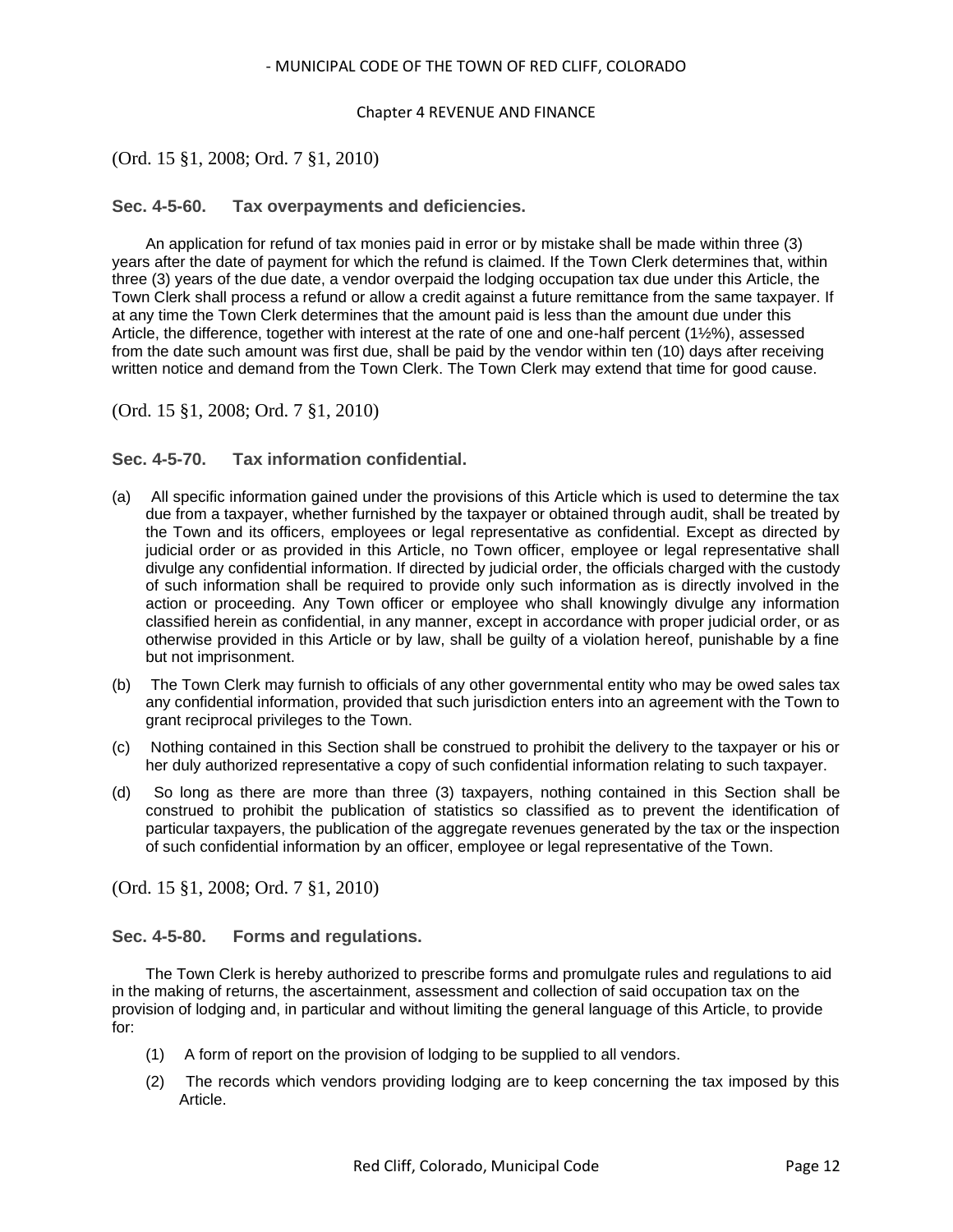### Chapter 4 REVENUE AND FINANCE

## (Ord. 15 §1, 2008; Ord. 7 §1, 2010)

### <span id="page-11-0"></span>**Sec. 4-5-60. Tax overpayments and deficiencies.**

An application for refund of tax monies paid in error or by mistake shall be made within three (3) years after the date of payment for which the refund is claimed. If the Town Clerk determines that, within three (3) years of the due date, a vendor overpaid the lodging occupation tax due under this Article, the Town Clerk shall process a refund or allow a credit against a future remittance from the same taxpayer. If at any time the Town Clerk determines that the amount paid is less than the amount due under this Article, the difference, together with interest at the rate of one and one-half percent (1½%), assessed from the date such amount was first due, shall be paid by the vendor within ten (10) days after receiving written notice and demand from the Town Clerk. The Town Clerk may extend that time for good cause.

(Ord. 15 §1, 2008; Ord. 7 §1, 2010)

### <span id="page-11-1"></span>**Sec. 4-5-70. Tax information confidential.**

- (a) All specific information gained under the provisions of this Article which is used to determine the tax due from a taxpayer, whether furnished by the taxpayer or obtained through audit, shall be treated by the Town and its officers, employees or legal representative as confidential. Except as directed by judicial order or as provided in this Article, no Town officer, employee or legal representative shall divulge any confidential information. If directed by judicial order, the officials charged with the custody of such information shall be required to provide only such information as is directly involved in the action or proceeding. Any Town officer or employee who shall knowingly divulge any information classified herein as confidential, in any manner, except in accordance with proper judicial order, or as otherwise provided in this Article or by law, shall be guilty of a violation hereof, punishable by a fine but not imprisonment.
- (b) The Town Clerk may furnish to officials of any other governmental entity who may be owed sales tax any confidential information, provided that such jurisdiction enters into an agreement with the Town to grant reciprocal privileges to the Town.
- (c) Nothing contained in this Section shall be construed to prohibit the delivery to the taxpayer or his or her duly authorized representative a copy of such confidential information relating to such taxpayer.
- (d) So long as there are more than three (3) taxpayers, nothing contained in this Section shall be construed to prohibit the publication of statistics so classified as to prevent the identification of particular taxpayers, the publication of the aggregate revenues generated by the tax or the inspection of such confidential information by an officer, employee or legal representative of the Town.

(Ord. 15 §1, 2008; Ord. 7 §1, 2010)

### <span id="page-11-2"></span>**Sec. 4-5-80. Forms and regulations.**

The Town Clerk is hereby authorized to prescribe forms and promulgate rules and regulations to aid in the making of returns, the ascertainment, assessment and collection of said occupation tax on the provision of lodging and, in particular and without limiting the general language of this Article, to provide for:

- (1) A form of report on the provision of lodging to be supplied to all vendors.
- (2) The records which vendors providing lodging are to keep concerning the tax imposed by this Article.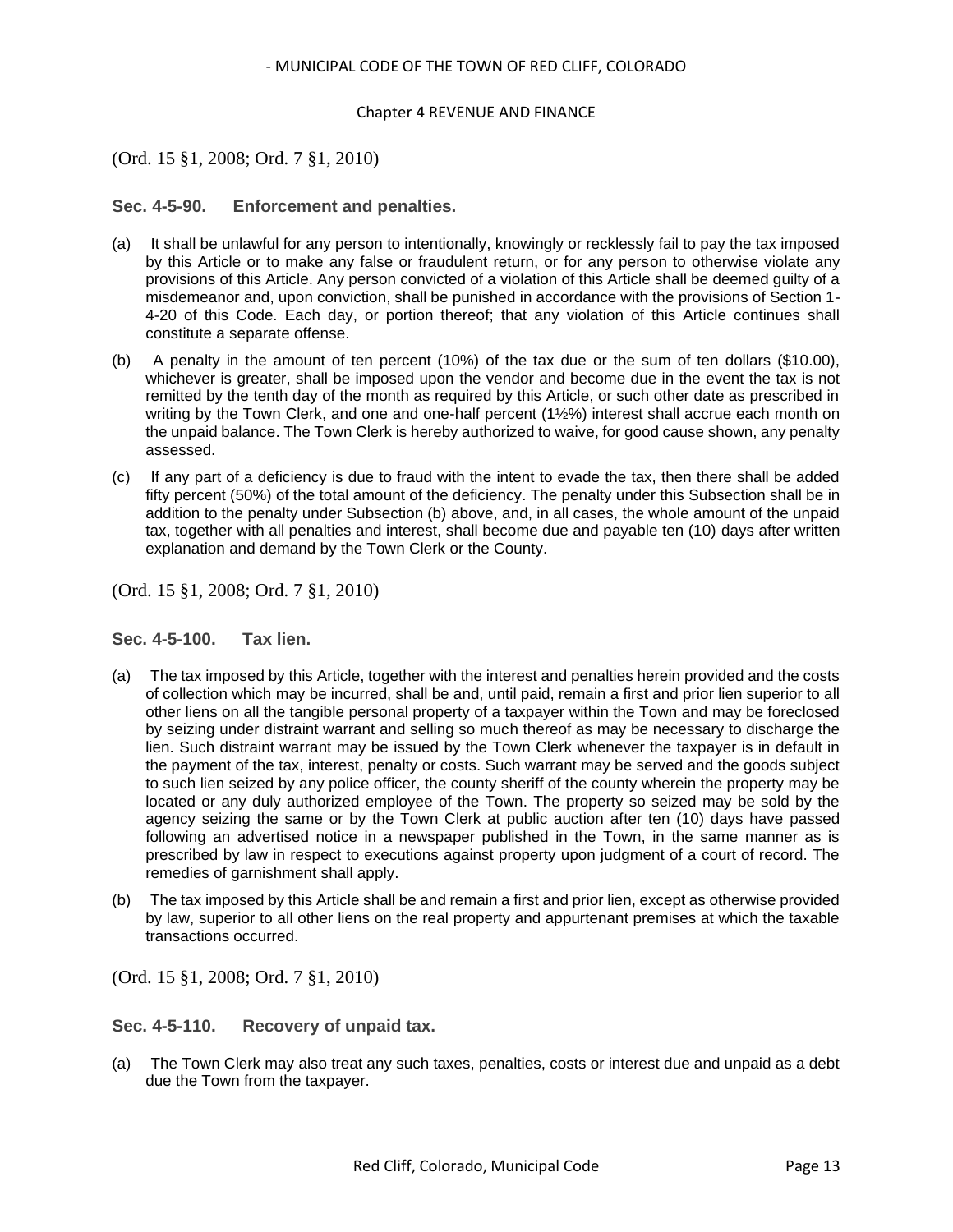### Chapter 4 REVENUE AND FINANCE

## (Ord. 15 §1, 2008; Ord. 7 §1, 2010)

### <span id="page-12-0"></span>**Sec. 4-5-90. Enforcement and penalties.**

- (a) It shall be unlawful for any person to intentionally, knowingly or recklessly fail to pay the tax imposed by this Article or to make any false or fraudulent return, or for any person to otherwise violate any provisions of this Article. Any person convicted of a violation of this Article shall be deemed guilty of a misdemeanor and, upon conviction, shall be punished in accordance with the provisions of Section 1- 4-20 of this Code. Each day, or portion thereof; that any violation of this Article continues shall constitute a separate offense.
- (b) A penalty in the amount of ten percent (10%) of the tax due or the sum of ten dollars (\$10.00), whichever is greater, shall be imposed upon the vendor and become due in the event the tax is not remitted by the tenth day of the month as required by this Article, or such other date as prescribed in writing by the Town Clerk, and one and one-half percent (1½%) interest shall accrue each month on the unpaid balance. The Town Clerk is hereby authorized to waive, for good cause shown, any penalty assessed.
- (c) If any part of a deficiency is due to fraud with the intent to evade the tax, then there shall be added fifty percent (50%) of the total amount of the deficiency. The penalty under this Subsection shall be in addition to the penalty under Subsection (b) above, and, in all cases, the whole amount of the unpaid tax, together with all penalties and interest, shall become due and payable ten (10) days after written explanation and demand by the Town Clerk or the County.

(Ord. 15 §1, 2008; Ord. 7 §1, 2010)

### <span id="page-12-1"></span>**Sec. 4-5-100. Tax lien.**

- (a) The tax imposed by this Article, together with the interest and penalties herein provided and the costs of collection which may be incurred, shall be and, until paid, remain a first and prior lien superior to all other liens on all the tangible personal property of a taxpayer within the Town and may be foreclosed by seizing under distraint warrant and selling so much thereof as may be necessary to discharge the lien. Such distraint warrant may be issued by the Town Clerk whenever the taxpayer is in default in the payment of the tax, interest, penalty or costs. Such warrant may be served and the goods subject to such lien seized by any police officer, the county sheriff of the county wherein the property may be located or any duly authorized employee of the Town. The property so seized may be sold by the agency seizing the same or by the Town Clerk at public auction after ten (10) days have passed following an advertised notice in a newspaper published in the Town, in the same manner as is prescribed by law in respect to executions against property upon judgment of a court of record. The remedies of garnishment shall apply.
- (b) The tax imposed by this Article shall be and remain a first and prior lien, except as otherwise provided by law, superior to all other liens on the real property and appurtenant premises at which the taxable transactions occurred.

(Ord. 15 §1, 2008; Ord. 7 §1, 2010)

<span id="page-12-2"></span>**Sec. 4-5-110. Recovery of unpaid tax.**

(a) The Town Clerk may also treat any such taxes, penalties, costs or interest due and unpaid as a debt due the Town from the taxpayer.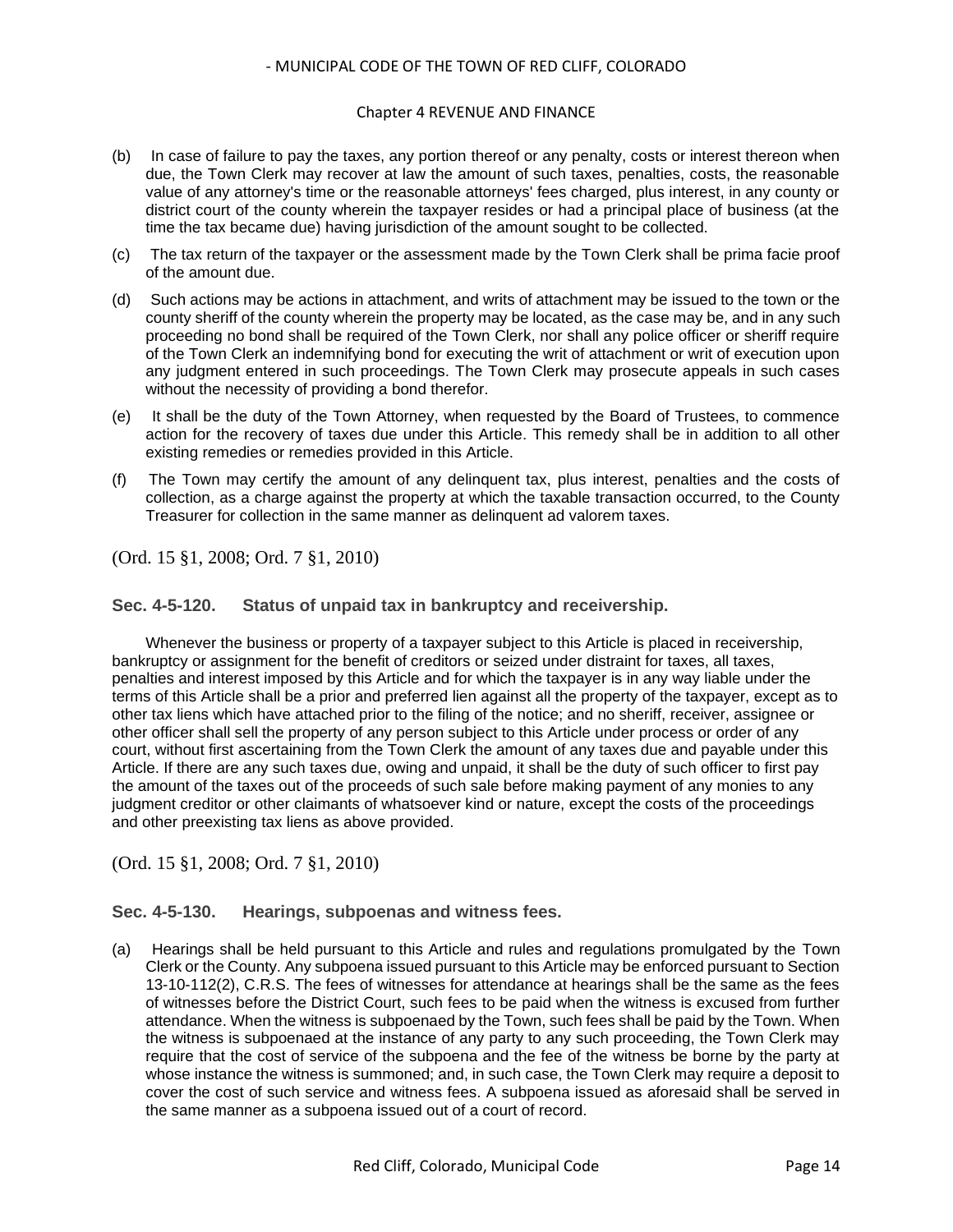### Chapter 4 REVENUE AND FINANCE

- (b) In case of failure to pay the taxes, any portion thereof or any penalty, costs or interest thereon when due, the Town Clerk may recover at law the amount of such taxes, penalties, costs, the reasonable value of any attorney's time or the reasonable attorneys' fees charged, plus interest, in any county or district court of the county wherein the taxpayer resides or had a principal place of business (at the time the tax became due) having jurisdiction of the amount sought to be collected.
- (c) The tax return of the taxpayer or the assessment made by the Town Clerk shall be prima facie proof of the amount due.
- (d) Such actions may be actions in attachment, and writs of attachment may be issued to the town or the county sheriff of the county wherein the property may be located, as the case may be, and in any such proceeding no bond shall be required of the Town Clerk, nor shall any police officer or sheriff require of the Town Clerk an indemnifying bond for executing the writ of attachment or writ of execution upon any judgment entered in such proceedings. The Town Clerk may prosecute appeals in such cases without the necessity of providing a bond therefor.
- (e) It shall be the duty of the Town Attorney, when requested by the Board of Trustees, to commence action for the recovery of taxes due under this Article. This remedy shall be in addition to all other existing remedies or remedies provided in this Article.
- (f) The Town may certify the amount of any delinquent tax, plus interest, penalties and the costs of collection, as a charge against the property at which the taxable transaction occurred, to the County Treasurer for collection in the same manner as delinquent ad valorem taxes.

(Ord. 15 §1, 2008; Ord. 7 §1, 2010)

## <span id="page-13-0"></span>**Sec. 4-5-120. Status of unpaid tax in bankruptcy and receivership.**

Whenever the business or property of a taxpayer subject to this Article is placed in receivership, bankruptcy or assignment for the benefit of creditors or seized under distraint for taxes, all taxes, penalties and interest imposed by this Article and for which the taxpayer is in any way liable under the terms of this Article shall be a prior and preferred lien against all the property of the taxpayer, except as to other tax liens which have attached prior to the filing of the notice; and no sheriff, receiver, assignee or other officer shall sell the property of any person subject to this Article under process or order of any court, without first ascertaining from the Town Clerk the amount of any taxes due and payable under this Article. If there are any such taxes due, owing and unpaid, it shall be the duty of such officer to first pay the amount of the taxes out of the proceeds of such sale before making payment of any monies to any judgment creditor or other claimants of whatsoever kind or nature, except the costs of the proceedings and other preexisting tax liens as above provided.

(Ord. 15 §1, 2008; Ord. 7 §1, 2010)

### <span id="page-13-1"></span>**Sec. 4-5-130. Hearings, subpoenas and witness fees.**

(a) Hearings shall be held pursuant to this Article and rules and regulations promulgated by the Town Clerk or the County. Any subpoena issued pursuant to this Article may be enforced pursuant to Section 13-10-112(2), C.R.S. The fees of witnesses for attendance at hearings shall be the same as the fees of witnesses before the District Court, such fees to be paid when the witness is excused from further attendance. When the witness is subpoenaed by the Town, such fees shall be paid by the Town. When the witness is subpoenaed at the instance of any party to any such proceeding, the Town Clerk may require that the cost of service of the subpoena and the fee of the witness be borne by the party at whose instance the witness is summoned; and, in such case, the Town Clerk may require a deposit to cover the cost of such service and witness fees. A subpoena issued as aforesaid shall be served in the same manner as a subpoena issued out of a court of record.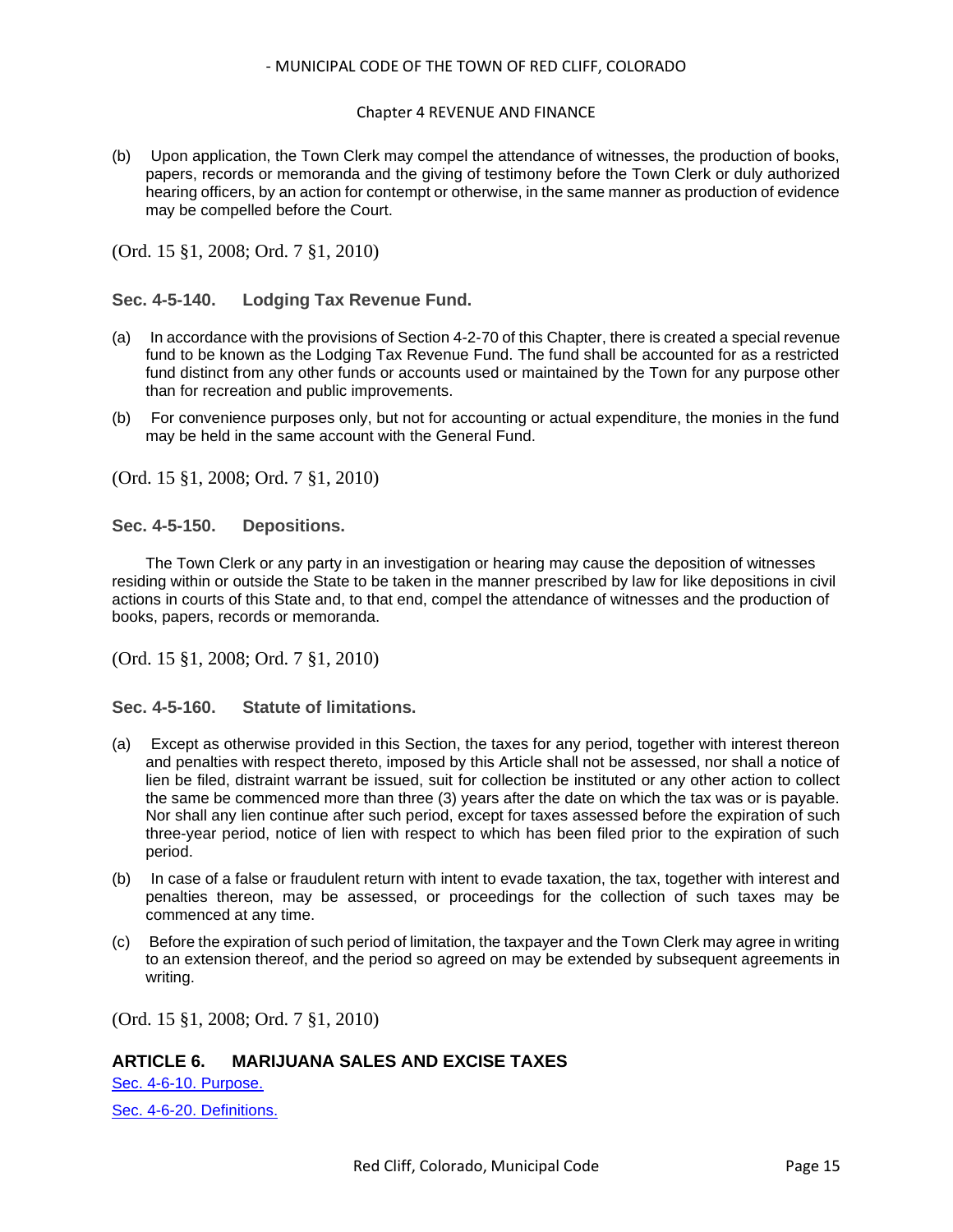### Chapter 4 REVENUE AND FINANCE

(b) Upon application, the Town Clerk may compel the attendance of witnesses, the production of books, papers, records or memoranda and the giving of testimony before the Town Clerk or duly authorized hearing officers, by an action for contempt or otherwise, in the same manner as production of evidence may be compelled before the Court.

(Ord. 15 §1, 2008; Ord. 7 §1, 2010)

## <span id="page-14-0"></span>**Sec. 4-5-140. Lodging Tax Revenue Fund.**

- (a) In accordance with the provisions of Section 4-2-70 of this Chapter, there is created a special revenue fund to be known as the Lodging Tax Revenue Fund. The fund shall be accounted for as a restricted fund distinct from any other funds or accounts used or maintained by the Town for any purpose other than for recreation and public improvements.
- (b) For convenience purposes only, but not for accounting or actual expenditure, the monies in the fund may be held in the same account with the General Fund.

(Ord. 15 §1, 2008; Ord. 7 §1, 2010)

<span id="page-14-1"></span>**Sec. 4-5-150. Depositions.**

The Town Clerk or any party in an investigation or hearing may cause the deposition of witnesses residing within or outside the State to be taken in the manner prescribed by law for like depositions in civil actions in courts of this State and, to that end, compel the attendance of witnesses and the production of books, papers, records or memoranda.

(Ord. 15 §1, 2008; Ord. 7 §1, 2010)

<span id="page-14-2"></span>**Sec. 4-5-160. Statute of limitations.**

- (a) Except as otherwise provided in this Section, the taxes for any period, together with interest thereon and penalties with respect thereto, imposed by this Article shall not be assessed, nor shall a notice of lien be filed, distraint warrant be issued, suit for collection be instituted or any other action to collect the same be commenced more than three (3) years after the date on which the tax was or is payable. Nor shall any lien continue after such period, except for taxes assessed before the expiration of such three-year period, notice of lien with respect to which has been filed prior to the expiration of such period.
- (b) In case of a false or fraudulent return with intent to evade taxation, the tax, together with interest and penalties thereon, may be assessed, or proceedings for the collection of such taxes may be commenced at any time.
- (c) Before the expiration of such period of limitation, the taxpayer and the Town Clerk may agree in writing to an extension thereof, and the period so agreed on may be extended by subsequent agreements in writing.

(Ord. 15 §1, 2008; Ord. 7 §1, 2010)

## **ARTICLE 6. MARIJUANA SALES AND EXCISE TAXES**

[Sec. 4-6-10. Purpose.](#page-15-0) [Sec. 4-6-20. Definitions.](#page-15-1)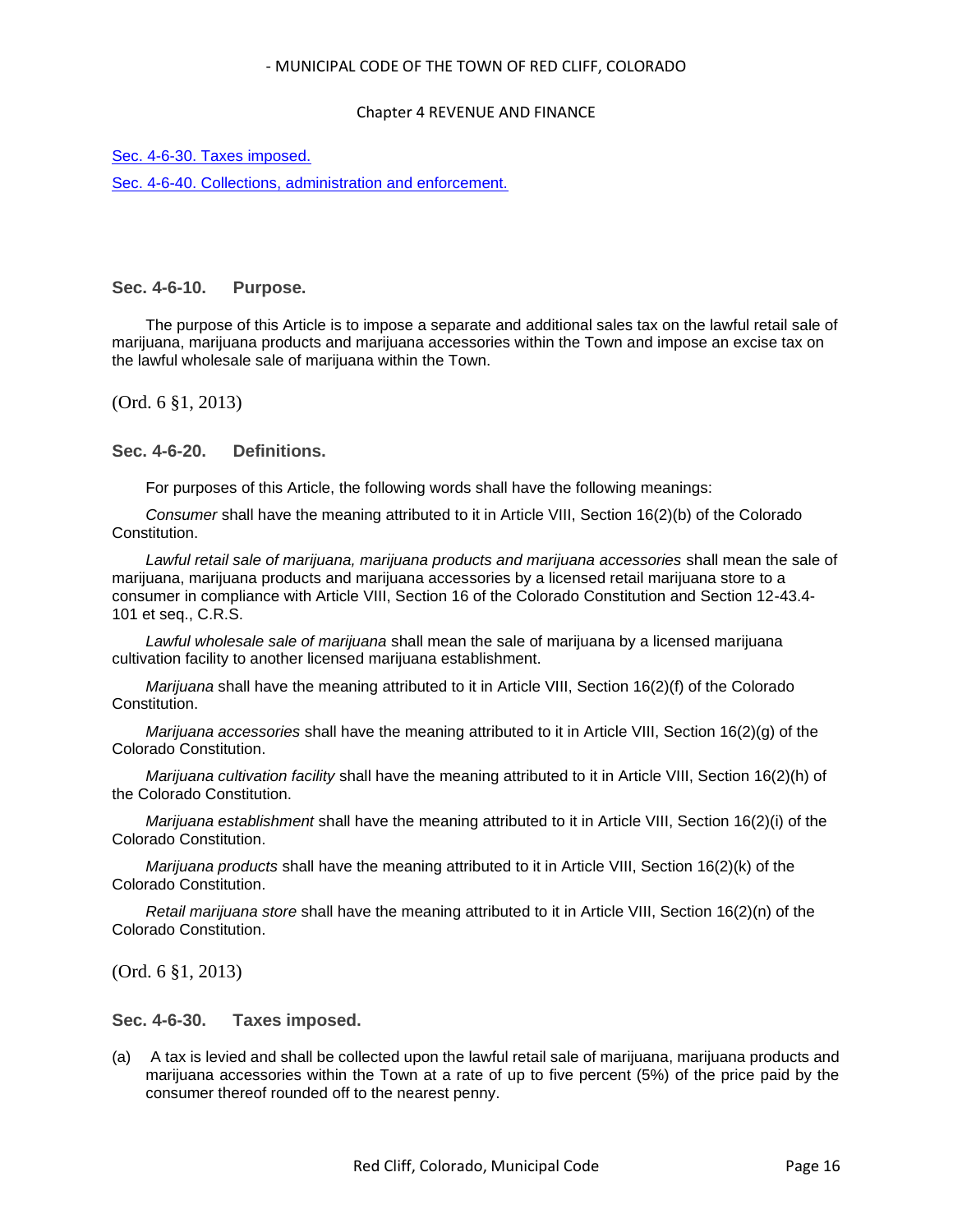### Chapter 4 REVENUE AND FINANCE

[Sec. 4-6-30. Taxes imposed.](#page-15-2)

[Sec. 4-6-40. Collections, administration and enforcement.](#page-16-0)

## <span id="page-15-0"></span>**Sec. 4-6-10. Purpose.**

The purpose of this Article is to impose a separate and additional sales tax on the lawful retail sale of marijuana, marijuana products and marijuana accessories within the Town and impose an excise tax on the lawful wholesale sale of marijuana within the Town.

(Ord. 6 §1, 2013)

## <span id="page-15-1"></span>**Sec. 4-6-20. Definitions.**

For purposes of this Article, the following words shall have the following meanings:

*Consumer* shall have the meaning attributed to it in Article VIII, Section 16(2)(b) of the Colorado Constitution.

*Lawful retail sale of marijuana, marijuana products and marijuana accessories* shall mean the sale of marijuana, marijuana products and marijuana accessories by a licensed retail marijuana store to a consumer in compliance with Article VIII, Section 16 of the Colorado Constitution and Section 12-43.4- 101 et seq., C.R.S.

*Lawful wholesale sale of marijuana* shall mean the sale of marijuana by a licensed marijuana cultivation facility to another licensed marijuana establishment.

*Marijuana* shall have the meaning attributed to it in Article VIII, Section 16(2)(f) of the Colorado Constitution.

*Marijuana accessories* shall have the meaning attributed to it in Article VIII, Section 16(2)(g) of the Colorado Constitution.

*Marijuana cultivation facility* shall have the meaning attributed to it in Article VIII, Section 16(2)(h) of the Colorado Constitution.

*Marijuana establishment* shall have the meaning attributed to it in Article VIII, Section 16(2)(i) of the Colorado Constitution.

*Marijuana products* shall have the meaning attributed to it in Article VIII, Section 16(2)(k) of the Colorado Constitution.

*Retail marijuana store* shall have the meaning attributed to it in Article VIII, Section 16(2)(n) of the Colorado Constitution.

(Ord. 6 §1, 2013)

### <span id="page-15-2"></span>**Sec. 4-6-30. Taxes imposed.**

(a) A tax is levied and shall be collected upon the lawful retail sale of marijuana, marijuana products and marijuana accessories within the Town at a rate of up to five percent (5%) of the price paid by the consumer thereof rounded off to the nearest penny.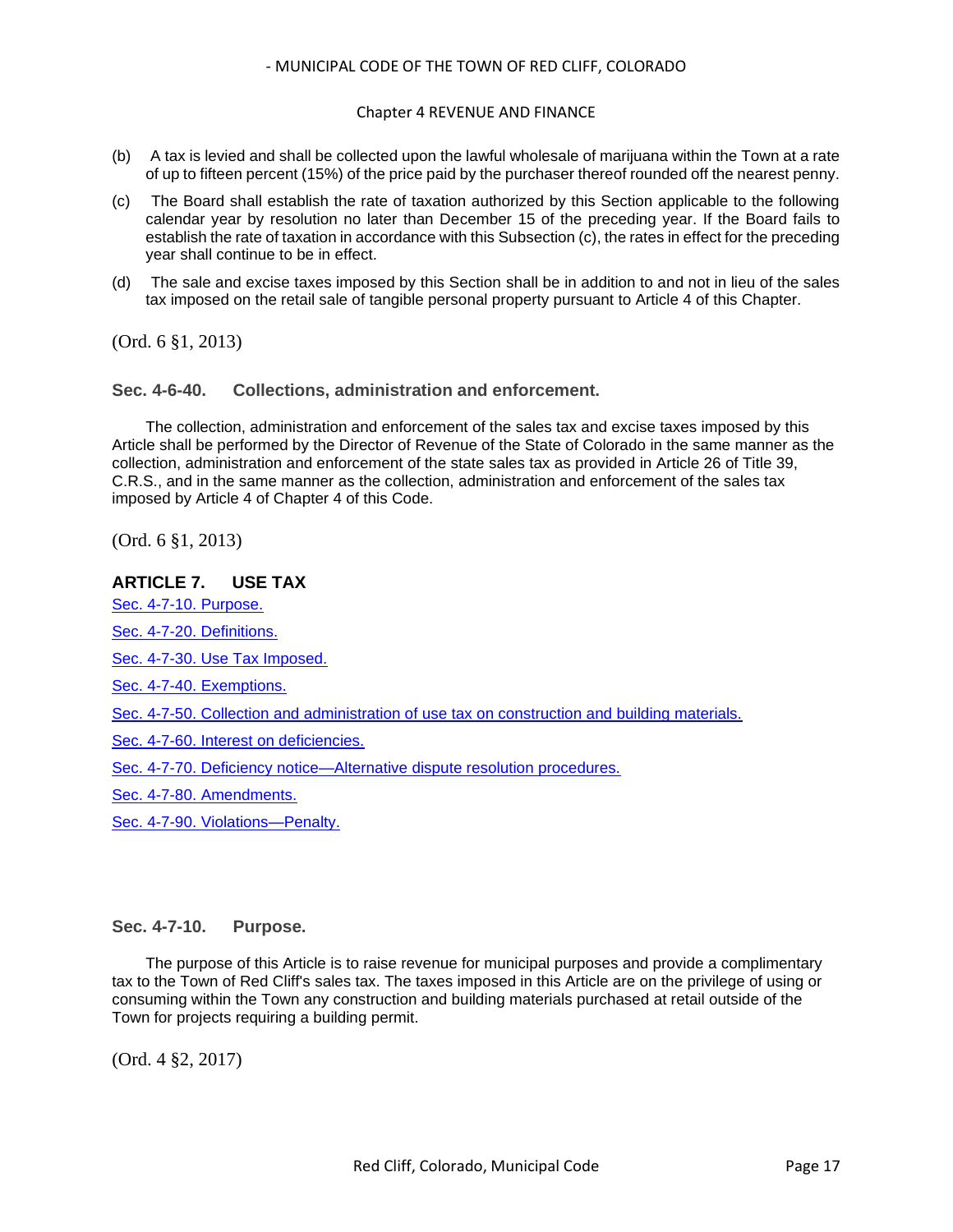### Chapter 4 REVENUE AND FINANCE

- (b) A tax is levied and shall be collected upon the lawful wholesale of marijuana within the Town at a rate of up to fifteen percent (15%) of the price paid by the purchaser thereof rounded off the nearest penny.
- (c) The Board shall establish the rate of taxation authorized by this Section applicable to the following calendar year by resolution no later than December 15 of the preceding year. If the Board fails to establish the rate of taxation in accordance with this Subsection (c), the rates in effect for the preceding year shall continue to be in effect.
- (d) The sale and excise taxes imposed by this Section shall be in addition to and not in lieu of the sales tax imposed on the retail sale of tangible personal property pursuant to Article 4 of this Chapter.

(Ord. 6 §1, 2013)

<span id="page-16-0"></span>**Sec. 4-6-40. Collections, administration and enforcement.**

The collection, administration and enforcement of the sales tax and excise taxes imposed by this Article shall be performed by the Director of Revenue of the State of Colorado in the same manner as the collection, administration and enforcement of the state sales tax as provided in Article 26 of Title 39, C.R.S., and in the same manner as the collection, administration and enforcement of the sales tax imposed by Article 4 of Chapter 4 of this Code.

(Ord. 6 §1, 2013)

### **ARTICLE 7. USE TAX**

[Sec. 4-7-10. Purpose.](#page-16-1)

[Sec. 4-7-20. Definitions.](#page-17-0)

[Sec. 4-7-30. Use Tax Imposed.](#page-17-1)

[Sec. 4-7-40. Exemptions.](#page-17-2)

[Sec. 4-7-50. Collection and administration of use tax on construction and building materials.](#page-18-0)

[Sec. 4-7-60. Interest on deficiencies.](#page-18-1)

[Sec. 4-7-70. Deficiency notice—Alternative dispute resolution procedures.](#page-19-0)

[Sec. 4-7-80. Amendments.](#page-20-0)

[Sec. 4-7-90. Violations—Penalty.](#page-20-1)

### <span id="page-16-1"></span>**Sec. 4-7-10. Purpose.**

The purpose of this Article is to raise revenue for municipal purposes and provide a complimentary tax to the Town of Red Cliff's sales tax. The taxes imposed in this Article are on the privilege of using or consuming within the Town any construction and building materials purchased at retail outside of the Town for projects requiring a building permit.

(Ord. 4 §2, 2017)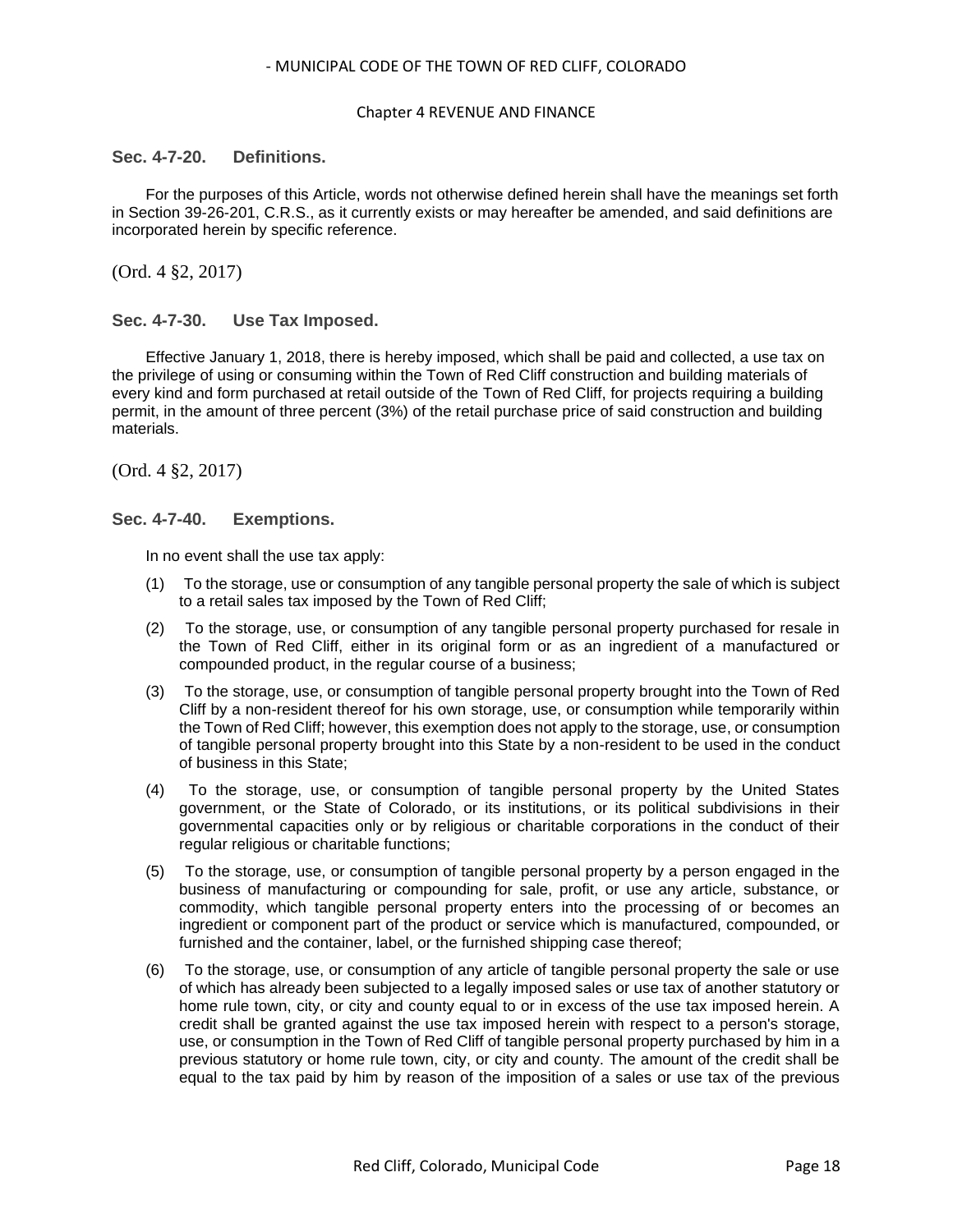#### Chapter 4 REVENUE AND FINANCE

### <span id="page-17-0"></span>**Sec. 4-7-20. Definitions.**

For the purposes of this Article, words not otherwise defined herein shall have the meanings set forth in Section 39-26-201, C.R.S., as it currently exists or may hereafter be amended, and said definitions are incorporated herein by specific reference.

(Ord. 4 §2, 2017)

### <span id="page-17-1"></span>**Sec. 4-7-30. Use Tax Imposed.**

Effective January 1, 2018, there is hereby imposed, which shall be paid and collected, a use tax on the privilege of using or consuming within the Town of Red Cliff construction and building materials of every kind and form purchased at retail outside of the Town of Red Cliff, for projects requiring a building permit, in the amount of three percent (3%) of the retail purchase price of said construction and building materials.

(Ord. 4 §2, 2017)

### <span id="page-17-2"></span>**Sec. 4-7-40. Exemptions.**

In no event shall the use tax apply:

- (1) To the storage, use or consumption of any tangible personal property the sale of which is subject to a retail sales tax imposed by the Town of Red Cliff;
- (2) To the storage, use, or consumption of any tangible personal property purchased for resale in the Town of Red Cliff, either in its original form or as an ingredient of a manufactured or compounded product, in the regular course of a business;
- (3) To the storage, use, or consumption of tangible personal property brought into the Town of Red Cliff by a non-resident thereof for his own storage, use, or consumption while temporarily within the Town of Red Cliff; however, this exemption does not apply to the storage, use, or consumption of tangible personal property brought into this State by a non-resident to be used in the conduct of business in this State;
- (4) To the storage, use, or consumption of tangible personal property by the United States government, or the State of Colorado, or its institutions, or its political subdivisions in their governmental capacities only or by religious or charitable corporations in the conduct of their regular religious or charitable functions;
- (5) To the storage, use, or consumption of tangible personal property by a person engaged in the business of manufacturing or compounding for sale, profit, or use any article, substance, or commodity, which tangible personal property enters into the processing of or becomes an ingredient or component part of the product or service which is manufactured, compounded, or furnished and the container, label, or the furnished shipping case thereof;
- (6) To the storage, use, or consumption of any article of tangible personal property the sale or use of which has already been subjected to a legally imposed sales or use tax of another statutory or home rule town, city, or city and county equal to or in excess of the use tax imposed herein. A credit shall be granted against the use tax imposed herein with respect to a person's storage, use, or consumption in the Town of Red Cliff of tangible personal property purchased by him in a previous statutory or home rule town, city, or city and county. The amount of the credit shall be equal to the tax paid by him by reason of the imposition of a sales or use tax of the previous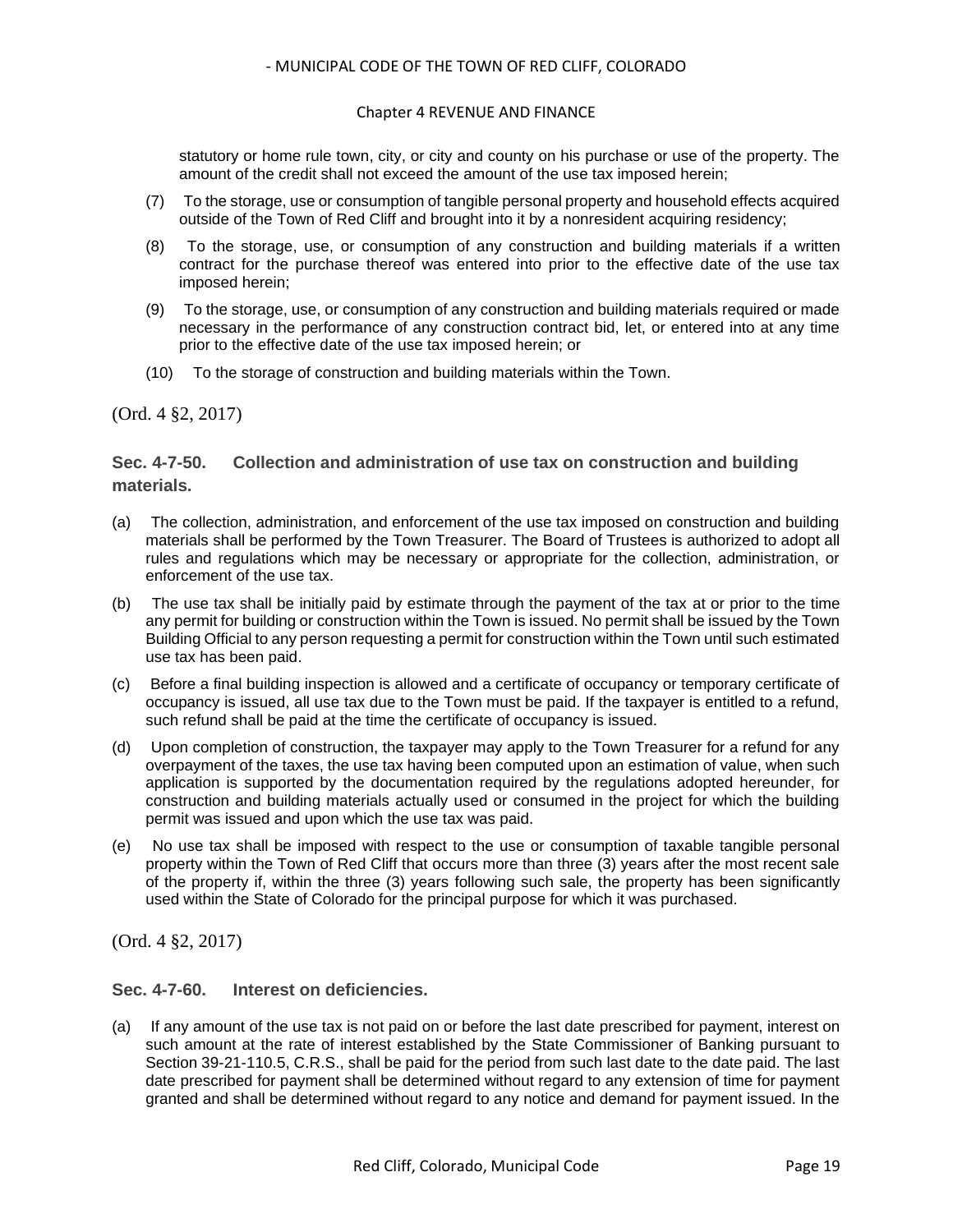### Chapter 4 REVENUE AND FINANCE

statutory or home rule town, city, or city and county on his purchase or use of the property. The amount of the credit shall not exceed the amount of the use tax imposed herein;

- (7) To the storage, use or consumption of tangible personal property and household effects acquired outside of the Town of Red Cliff and brought into it by a nonresident acquiring residency;
- (8) To the storage, use, or consumption of any construction and building materials if a written contract for the purchase thereof was entered into prior to the effective date of the use tax imposed herein;
- (9) To the storage, use, or consumption of any construction and building materials required or made necessary in the performance of any construction contract bid, let, or entered into at any time prior to the effective date of the use tax imposed herein; or
- (10) To the storage of construction and building materials within the Town.

### (Ord. 4 §2, 2017)

## <span id="page-18-0"></span>**Sec. 4-7-50. Collection and administration of use tax on construction and building materials.**

- (a) The collection, administration, and enforcement of the use tax imposed on construction and building materials shall be performed by the Town Treasurer. The Board of Trustees is authorized to adopt all rules and regulations which may be necessary or appropriate for the collection, administration, or enforcement of the use tax.
- (b) The use tax shall be initially paid by estimate through the payment of the tax at or prior to the time any permit for building or construction within the Town is issued. No permit shall be issued by the Town Building Official to any person requesting a permit for construction within the Town until such estimated use tax has been paid.
- (c) Before a final building inspection is allowed and a certificate of occupancy or temporary certificate of occupancy is issued, all use tax due to the Town must be paid. If the taxpayer is entitled to a refund, such refund shall be paid at the time the certificate of occupancy is issued.
- (d) Upon completion of construction, the taxpayer may apply to the Town Treasurer for a refund for any overpayment of the taxes, the use tax having been computed upon an estimation of value, when such application is supported by the documentation required by the regulations adopted hereunder, for construction and building materials actually used or consumed in the project for which the building permit was issued and upon which the use tax was paid.
- (e) No use tax shall be imposed with respect to the use or consumption of taxable tangible personal property within the Town of Red Cliff that occurs more than three (3) years after the most recent sale of the property if, within the three (3) years following such sale, the property has been significantly used within the State of Colorado for the principal purpose for which it was purchased.

(Ord. 4 §2, 2017)

## <span id="page-18-1"></span>**Sec. 4-7-60. Interest on deficiencies.**

(a) If any amount of the use tax is not paid on or before the last date prescribed for payment, interest on such amount at the rate of interest established by the State Commissioner of Banking pursuant to Section 39-21-110.5, C.R.S., shall be paid for the period from such last date to the date paid. The last date prescribed for payment shall be determined without regard to any extension of time for payment granted and shall be determined without regard to any notice and demand for payment issued. In the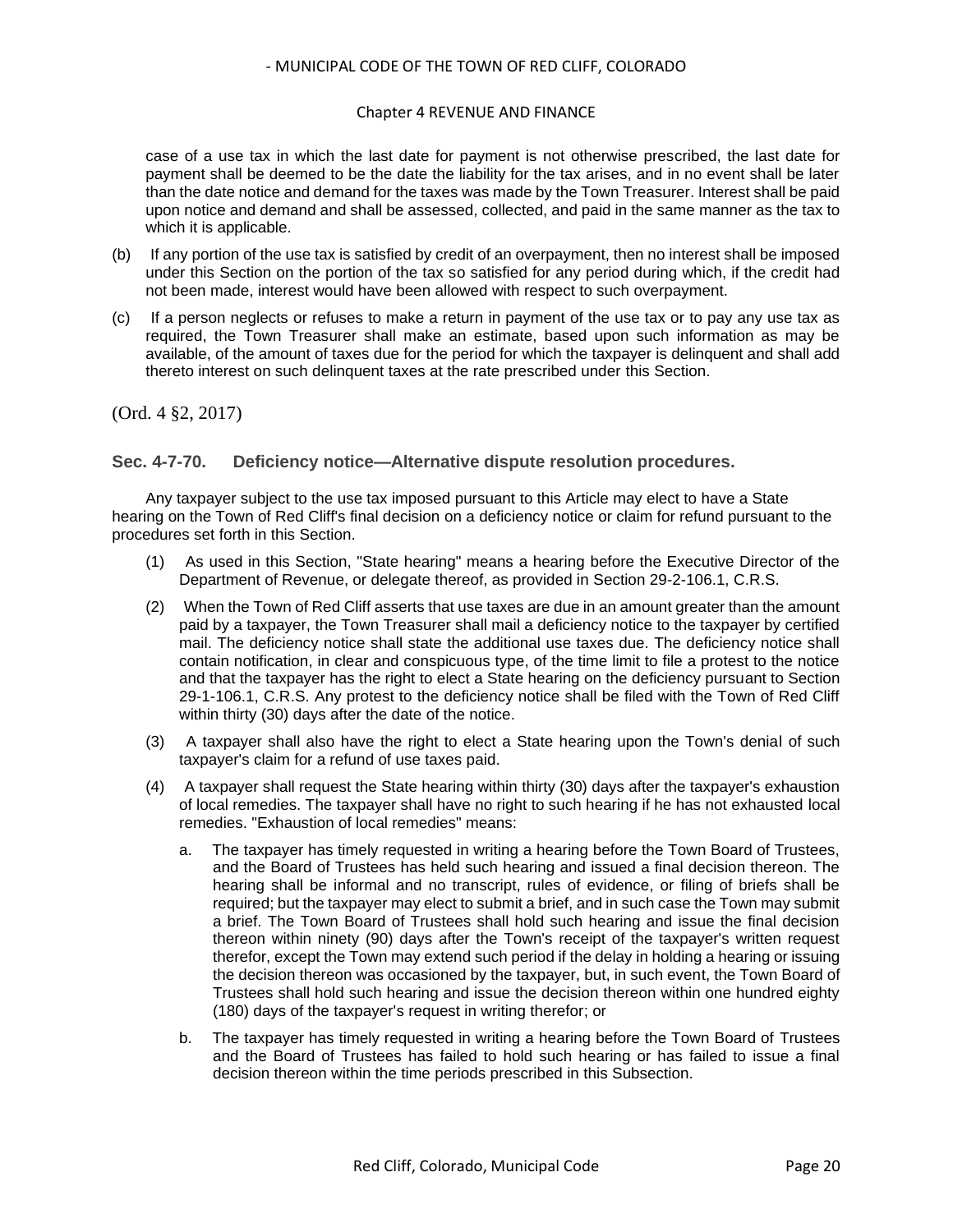### Chapter 4 REVENUE AND FINANCE

case of a use tax in which the last date for payment is not otherwise prescribed, the last date for payment shall be deemed to be the date the liability for the tax arises, and in no event shall be later than the date notice and demand for the taxes was made by the Town Treasurer. Interest shall be paid upon notice and demand and shall be assessed, collected, and paid in the same manner as the tax to which it is applicable.

- (b) If any portion of the use tax is satisfied by credit of an overpayment, then no interest shall be imposed under this Section on the portion of the tax so satisfied for any period during which, if the credit had not been made, interest would have been allowed with respect to such overpayment.
- (c) If a person neglects or refuses to make a return in payment of the use tax or to pay any use tax as required, the Town Treasurer shall make an estimate, based upon such information as may be available, of the amount of taxes due for the period for which the taxpayer is delinquent and shall add thereto interest on such delinquent taxes at the rate prescribed under this Section.

(Ord. 4 §2, 2017)

### <span id="page-19-0"></span>**Sec. 4-7-70. Deficiency notice—Alternative dispute resolution procedures.**

Any taxpayer subject to the use tax imposed pursuant to this Article may elect to have a State hearing on the Town of Red Cliff's final decision on a deficiency notice or claim for refund pursuant to the procedures set forth in this Section.

- (1) As used in this Section, "State hearing" means a hearing before the Executive Director of the Department of Revenue, or delegate thereof, as provided in Section 29-2-106.1, C.R.S.
- (2) When the Town of Red Cliff asserts that use taxes are due in an amount greater than the amount paid by a taxpayer, the Town Treasurer shall mail a deficiency notice to the taxpayer by certified mail. The deficiency notice shall state the additional use taxes due. The deficiency notice shall contain notification, in clear and conspicuous type, of the time limit to file a protest to the notice and that the taxpayer has the right to elect a State hearing on the deficiency pursuant to Section 29-1-106.1, C.R.S. Any protest to the deficiency notice shall be filed with the Town of Red Cliff within thirty (30) days after the date of the notice.
- (3) A taxpayer shall also have the right to elect a State hearing upon the Town's denial of such taxpayer's claim for a refund of use taxes paid.
- (4) A taxpayer shall request the State hearing within thirty (30) days after the taxpayer's exhaustion of local remedies. The taxpayer shall have no right to such hearing if he has not exhausted local remedies. "Exhaustion of local remedies" means:
	- a. The taxpayer has timely requested in writing a hearing before the Town Board of Trustees, and the Board of Trustees has held such hearing and issued a final decision thereon. The hearing shall be informal and no transcript, rules of evidence, or filing of briefs shall be required; but the taxpayer may elect to submit a brief, and in such case the Town may submit a brief. The Town Board of Trustees shall hold such hearing and issue the final decision thereon within ninety (90) days after the Town's receipt of the taxpayer's written request therefor, except the Town may extend such period if the delay in holding a hearing or issuing the decision thereon was occasioned by the taxpayer, but, in such event, the Town Board of Trustees shall hold such hearing and issue the decision thereon within one hundred eighty (180) days of the taxpayer's request in writing therefor; or
	- b. The taxpayer has timely requested in writing a hearing before the Town Board of Trustees and the Board of Trustees has failed to hold such hearing or has failed to issue a final decision thereon within the time periods prescribed in this Subsection.